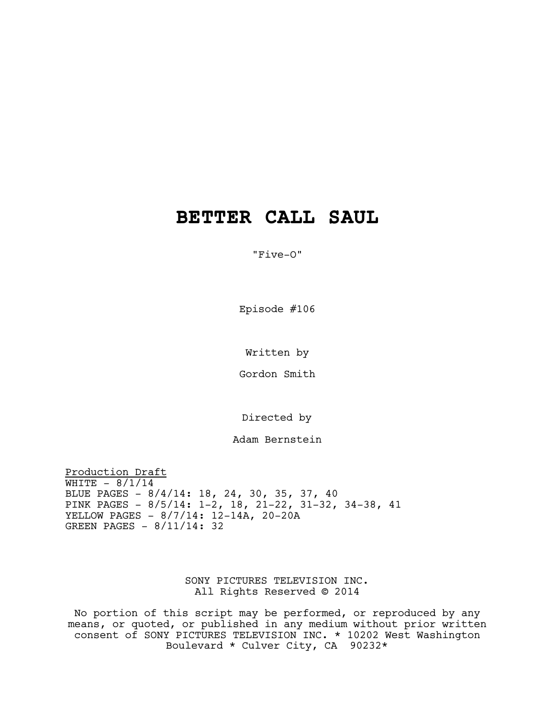# **BETTER CALL SAUL**

"Five-O"

Episode #106

Written by

Gordon Smith

Directed by

Adam Bernstein

Production Draft WHITE  $- 8/1/14$ BLUE PAGES - 8/4/14: 18, 24, 30, 35, 37, 40 PINK PAGES - 8/5/14: 1-2, 18, 21-22, 31-32, 34-38, 41 YELLOW PAGES - 8/7/14: 12-14A, 20-20A GREEN PAGES - 8/11/14: 32

> SONY PICTURES TELEVISION INC. All Rights Reserved © 2014

No portion of this script may be performed, or reproduced by any means, or quoted, or published in any medium without prior written consent of SONY PICTURES TELEVISION INC. \* 10202 West Washington Boulevard \* Culver City, CA 90232\*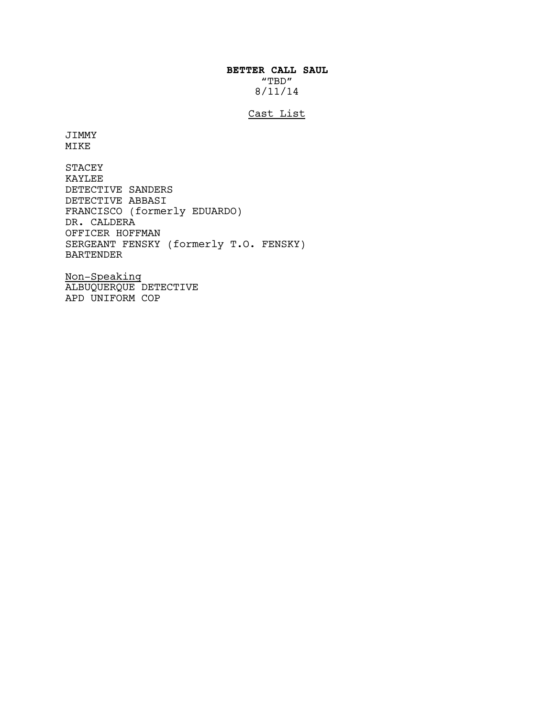# **BETTER CALL SAUL** "TBD" 8/11/14

# Cast List

JIMMY MIKE

STACEY KAYLEE DETECTIVE SANDERS DETECTIVE ABBASI FRANCISCO (formerly EDUARDO) DR. CALDERA OFFICER HOFFMAN SERGEANT FENSKY (formerly T.O. FENSKY) BARTENDER

Non-Speaking ALBUQUERQUE DETECTIVE APD UNIFORM COP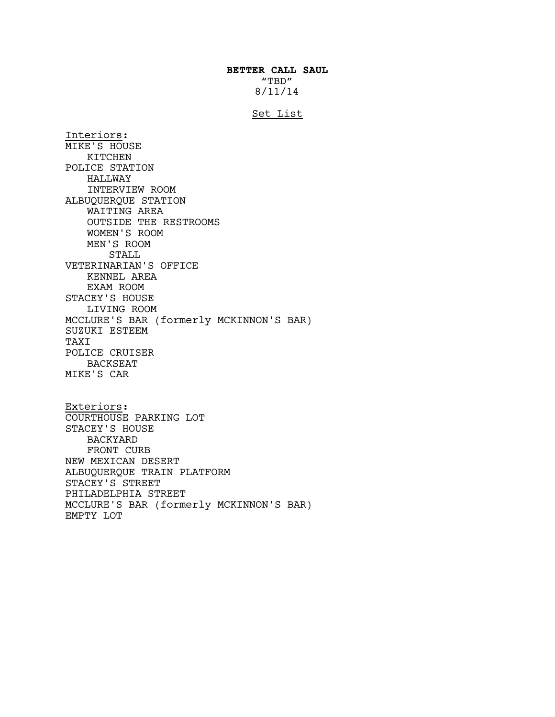# **BETTER CALL SAUL** "TBD" 8/11/14

#### Set List

Interiors: MIKE'S HOUSE KITCHEN POLICE STATION HALLWAY INTERVIEW ROOM ALBUQUERQUE STATION WAITING AREA OUTSIDE THE RESTROOMS WOMEN'S ROOM MEN'S ROOM STALL VETERINARIAN'S OFFICE KENNEL AREA EXAM ROOM STACEY'S HOUSE LIVING ROOM MCCLURE'S BAR (formerly MCKINNON'S BAR) SUZUKI ESTEEM TAXI POLICE CRUISER BACKSEAT MIKE'S CAR

Exteriors: COURTHOUSE PARKING LOT STACEY'S HOUSE BACKYARD FRONT CURB NEW MEXICAN DESERT ALBUQUERQUE TRAIN PLATFORM STACEY'S STREET PHILADELPHIA STREET MCCLURE'S BAR (formerly MCKINNON'S BAR) EMPTY LOT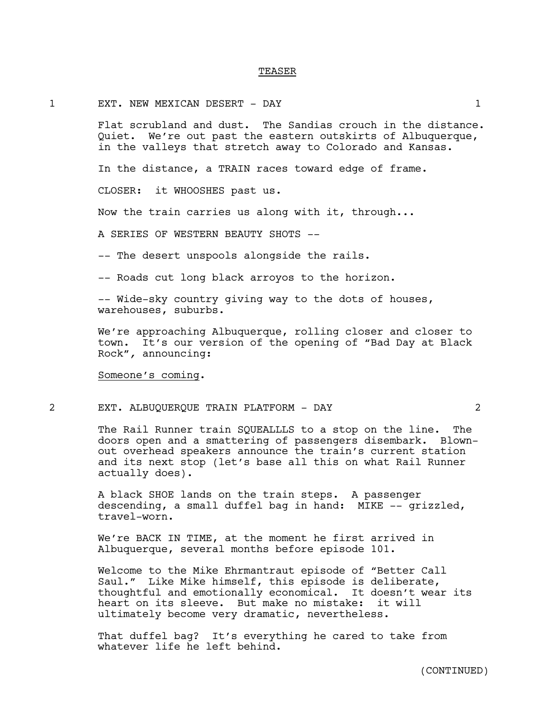#### TEASER

## 1 EXT. NEW MEXICAN DESERT - DAY 1

Flat scrubland and dust. The Sandias crouch in the distance. Quiet. We're out past the eastern outskirts of Albuquerque, in the valleys that stretch away to Colorado and Kansas.

In the distance, a TRAIN races toward edge of frame.

CLOSER: it WHOOSHES past us.

Now the train carries us along with it, through...

A SERIES OF WESTERN BEAUTY SHOTS --

-- The desert unspools alongside the rails.

-- Roads cut long black arroyos to the horizon.

-- Wide-sky country giving way to the dots of houses, warehouses, suburbs.

We're approaching Albuquerque, rolling closer and closer to town. It's our version of the opening of "Bad Day at Black Rock"*,* announcing:

Someone's coming.

#### 2 EXT. ALBUQUERQUE TRAIN PLATFORM - DAY 2

The Rail Runner train SQUEALLLS to a stop on the line. The doors open and a smattering of passengers disembark. Blownout overhead speakers announce the train's current station and its next stop (let's base all this on what Rail Runner actually does).

A black SHOE lands on the train steps. A passenger descending, a small duffel bag in hand: MIKE -- grizzled, travel-worn.

We're BACK IN TIME, at the moment he first arrived in Albuquerque, several months before episode 101.

Welcome to the Mike Ehrmantraut episode of "Better Call Saul." Like Mike himself, this episode is deliberate, thoughtful and emotionally economical. It doesn't wear its heart on its sleeve. But make no mistake: it will ultimately become very dramatic, nevertheless.

That duffel bag? It's everything he cared to take from whatever life he left behind.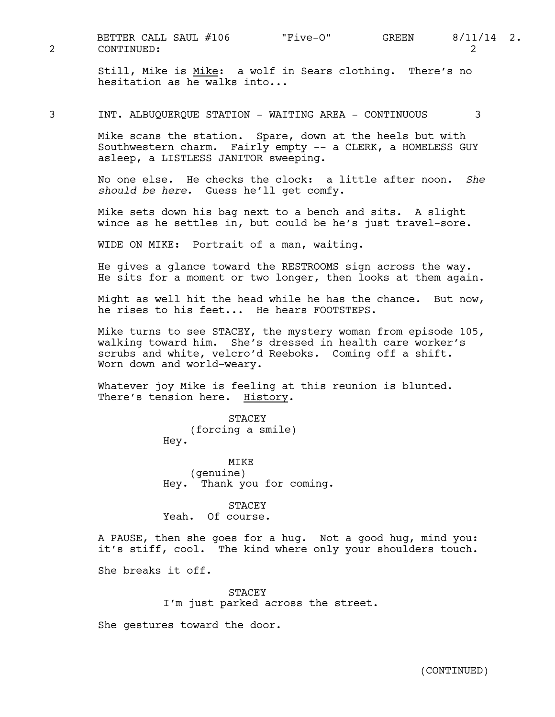2 CONTINUED: 2 BETTER CALL SAUL #106 "Five-O" GREEN 8/11/14 2.

Still, Mike is Mike: a wolf in Sears clothing. There's no hesitation as he walks into...

3 INT. ALBUQUERQUE STATION - WAITING AREA - CONTINUOUS 3

Mike scans the station. Spare, down at the heels but with Southwestern charm. Fairly empty -- a CLERK, a HOMELESS GUY asleep, a LISTLESS JANITOR sweeping.

No one else. He checks the clock: a little after noon. *She should be here*. Guess he'll get comfy.

Mike sets down his bag next to a bench and sits. A slight wince as he settles in, but could be he's just travel-sore.

WIDE ON MIKE: Portrait of a man, waiting.

He gives a glance toward the RESTROOMS sign across the way. He sits for a moment or two longer, then looks at them again.

Might as well hit the head while he has the chance. But now, he rises to his feet... He hears FOOTSTEPS.

Mike turns to see STACEY, the mystery woman from episode 105, walking toward him. She's dressed in health care worker's scrubs and white, velcro'd Reeboks. Coming off a shift. Worn down and world-weary.

Whatever joy Mike is feeling at this reunion is blunted. There's tension here. History.

> STACEY (forcing a smile) Hey.

MTK<sub>E</sub> (genuine) Hey. Thank you for coming.

**STACEY** Yeah. Of course.

A PAUSE, then she goes for a hug. Not a good hug, mind you: it's stiff, cool. The kind where only your shoulders touch.

She breaks it off.

STACEY I'm just parked across the street.

She gestures toward the door.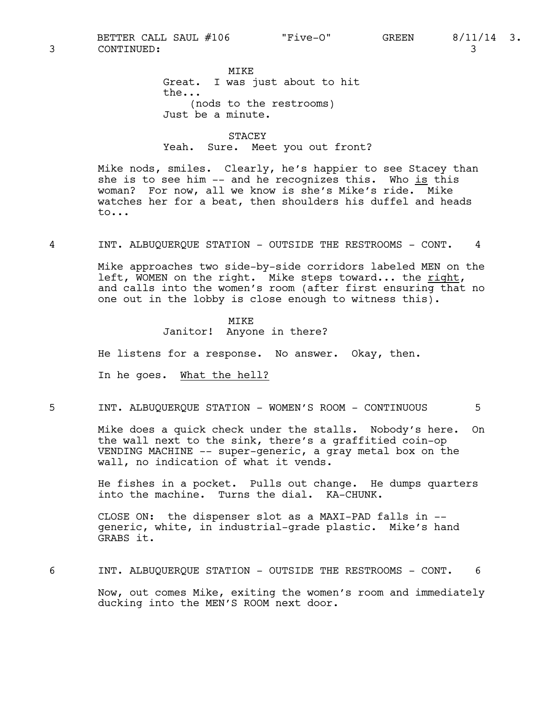MIKE Great. I was just about to hit the... (nods to the restrooms) Just be a minute.

STACEY Yeah. Sure. Meet you out front?

Mike nods, smiles. Clearly, he's happier to see Stacey than she is to see him -- and he recognizes this. Who is this woman? For now, all we know is she's Mike's ride. Mike watches her for a beat, then shoulders his duffel and heads to...

4 INT. ALBUQUERQUE STATION - OUTSIDE THE RESTROOMS - CONT. 4

Mike approaches two side-by-side corridors labeled MEN on the left, WOMEN on the right. Mike steps toward... the right, and calls into the women's room (after first ensuring that no one out in the lobby is close enough to witness this).

> MIKE Janitor! Anyone in there?

He listens for a response. No answer. Okay, then.

In he goes. What the hell?

5 INT. ALBUQUERQUE STATION - WOMEN'S ROOM - CONTINUOUS 5

Mike does a quick check under the stalls. Nobody's here. On the wall next to the sink, there's a graffitied coin-op VENDING MACHINE -- super-generic, a gray metal box on the wall, no indication of what it vends.

He fishes in a pocket. Pulls out change. He dumps quarters into the machine. Turns the dial. KA-CHUNK.

CLOSE ON: the dispenser slot as a MAXI-PAD falls in - generic, white, in industrial-grade plastic. Mike's hand GRABS it.

6 INT. ALBUQUERQUE STATION - OUTSIDE THE RESTROOMS - CONT. 6 Now, out comes Mike, exiting the women's room and immediately ducking into the MEN'S ROOM next door.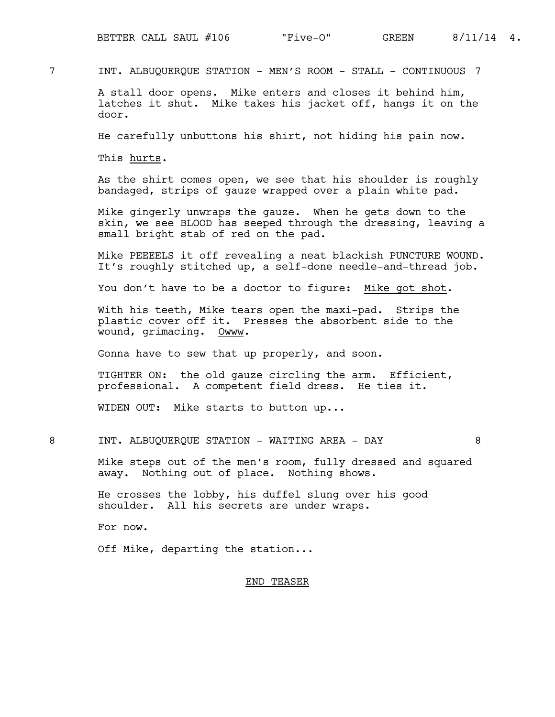7 INT. ALBUQUERQUE STATION - MEN'S ROOM - STALL - CONTINUOUS 7

A stall door opens. Mike enters and closes it behind him, latches it shut. Mike takes his jacket off, hangs it on the door.

He carefully unbuttons his shirt, not hiding his pain now.

This hurts.

As the shirt comes open, we see that his shoulder is roughly bandaged, strips of gauze wrapped over a plain white pad.

Mike gingerly unwraps the gauze. When he gets down to the skin, we see BLOOD has seeped through the dressing, leaving a small bright stab of red on the pad.

Mike PEEEELS it off revealing a neat blackish PUNCTURE WOUND. It's roughly stitched up, a self-done needle-and-thread job.

You don't have to be a doctor to figure: Mike got shot.

With his teeth, Mike tears open the maxi-pad. Strips the plastic cover off it. Presses the absorbent side to the wound, grimacing. Owww.

Gonna have to sew that up properly, and soon.

TIGHTER ON: the old gauze circling the arm. Efficient, professional. A competent field dress. He ties it.

WIDEN OUT: Mike starts to button up...

8 INT. ALBUQUERQUE STATION - WAITING AREA - DAY 8

Mike steps out of the men's room, fully dressed and squared away. Nothing out of place. Nothing shows.

He crosses the lobby, his duffel slung over his good shoulder. All his secrets are under wraps.

For now.

Off Mike, departing the station...

# END TEASER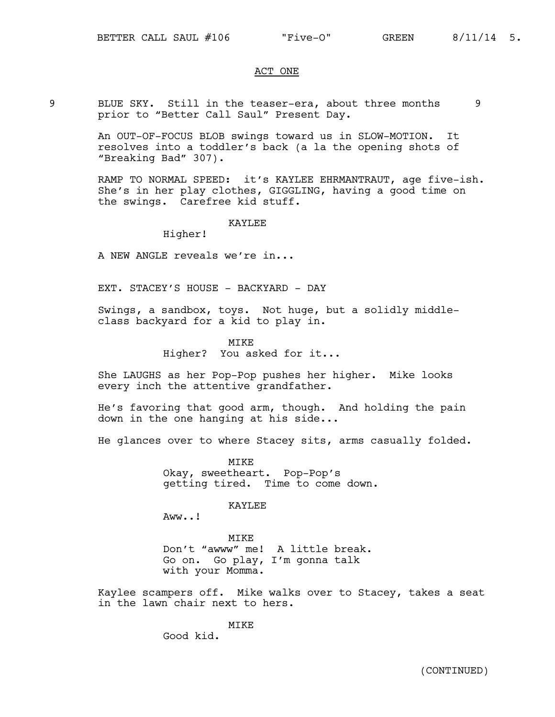# ACT ONE

9 BLUE SKY. Still in the teaser-era, about three months 9 prior to "Better Call Saul" Present Day.

> An OUT-OF-FOCUS BLOB swings toward us in SLOW-MOTION. It resolves into a toddler's back (a la the opening shots of "Breaking Bad" 307).

RAMP TO NORMAL SPEED: it's KAYLEE EHRMANTRAUT, age five-ish. She's in her play clothes, GIGGLING, having a good time on the swings. Carefree kid stuff.

#### KAYLEE

Higher!

A NEW ANGLE reveals we're in...

EXT. STACEY'S HOUSE - BACKYARD - DAY

Swings, a sandbox, toys. Not huge, but a solidly middleclass backyard for a kid to play in.

MTKF.

Higher? You asked for it...

She LAUGHS as her Pop-Pop pushes her higher. Mike looks every inch the attentive grandfather.

He's favoring that good arm, though. And holding the pain down in the one hanging at his side...

He glances over to where Stacey sits, arms casually folded.

MIKE Okay, sweetheart. Pop-Pop's getting tired. Time to come down.

KAYLEE

Aww..!

MIKE Don't "awww" me! A little break. Go on. Go play, I'm gonna talk with your Momma.

Kaylee scampers off. Mike walks over to Stacey, takes a seat in the lawn chair next to hers.

MTK<sub>E</sub>

Good kid.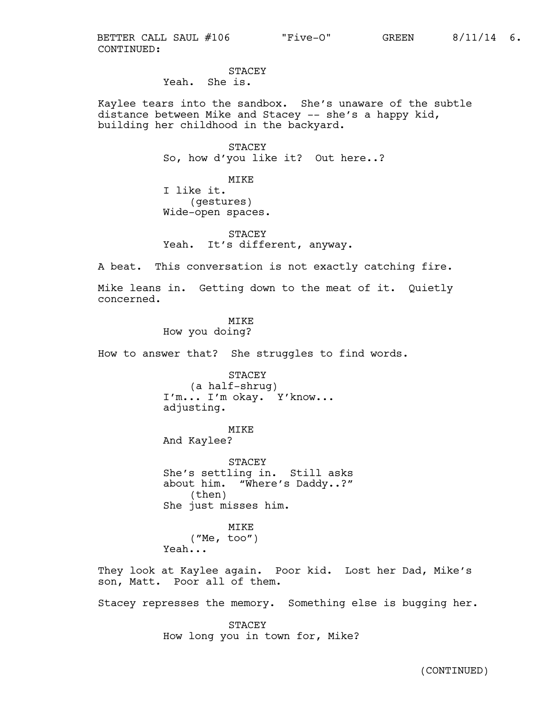CONTINUED: BETTER CALL SAUL #106 "Five-O" GREEN 8/11/14 6.

**STACEY** Yeah. She is.

Kaylee tears into the sandbox. She's unaware of the subtle distance between Mike and Stacey -- she's a happy kid, building her childhood in the backyard.

> STACEY So, how d'you like it? Out here..?

MIKE I like it. (gestures) Wide-open spaces.

**STACEY** Yeah. It's different, anyway.

A beat. This conversation is not exactly catching fire.

Mike leans in. Getting down to the meat of it. Quietly concerned.

MTK<sub>E</sub>

How you doing?

How to answer that? She struggles to find words.

STACEY (a half-shrug) I'm... I'm okay. Y'know... adjusting.

MIKE

And Kaylee?

STACEY She's settling in. Still asks about him. "Where's Daddy..?" (then) She just misses him.

MIKE ("Me, too") Yeah...

They look at Kaylee again. Poor kid. Lost her Dad, Mike's son, Matt. Poor all of them.

Stacey represses the memory. Something else is bugging her.

STACEY How long you in town for, Mike?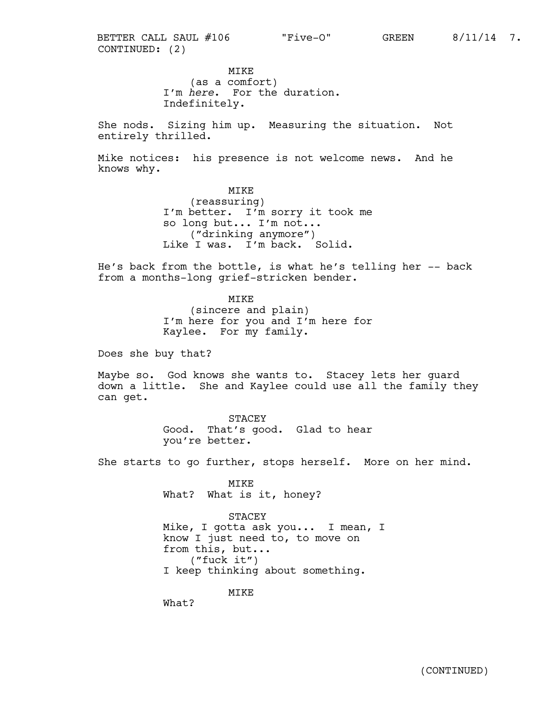CONTINUED: (2) BETTER CALL SAUL #106 "Five-O" GREEN 8/11/14 7.

> MIKE (as a comfort) I'm *here*. For the duration. Indefinitely.

She nods. Sizing him up. Measuring the situation. Not entirely thrilled.

Mike notices: his presence is not welcome news. And he knows why.

> MIKE (reassuring) I'm better. I'm sorry it took me so long but... I'm not... ("drinking anymore") Like I was. I'm back. Solid.

He's back from the bottle, is what he's telling her -- back from a months-long grief-stricken bender.

> MIKE (sincere and plain) I'm here for you and I'm here for Kaylee. For my family.

Does she buy that?

Maybe so. God knows she wants to. Stacey lets her guard down a little. She and Kaylee could use all the family they can get.

> STACEY Good. That's good. Glad to hear you're better.

She starts to go further, stops herself. More on her mind.

MIKE What? What is it, honey?

STACEY Mike, I gotta ask you... I mean, I know I just need to, to move on from this, but... ("fuck it") I keep thinking about something.

MIKE

What?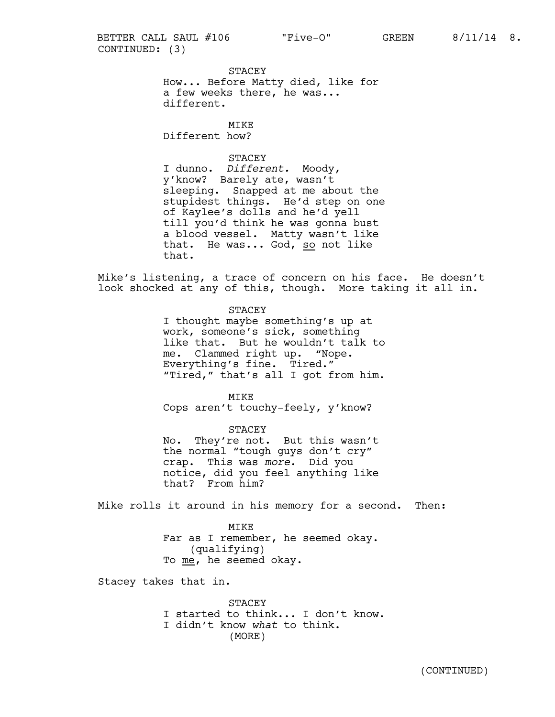CONTINUED: (3) BETTER CALL SAUL #106 "Five-O" GREEN 8/11/14 8.

> STACEY How... Before Matty died, like for a few weeks there, he was... different.

MTKE Different how?

#### **STACEY**

I dunno. *Different.* Moody, y'know? Barely ate, wasn't sleeping. Snapped at me about the stupidest things. He'd step on one of Kaylee's dolls and he'd yell till you'd think he was gonna bust a blood vessel. Matty wasn't like that. He was... God, so not like that.

Mike's listening, a trace of concern on his face. He doesn't look shocked at any of this, though. More taking it all in.

> STACEY I thought maybe something's up at

work, someone's sick, something like that. But he wouldn't talk to me. Clammed right up. "Nope. Everything's fine. Tired." "Tired," that's all I got from him.

MIKE Cops aren't touchy-feely, y'know?

STACEY No. They're not. But this wasn't the normal "tough guys don't cry" crap. This was *more*. Did you notice, did you feel anything like that? From him?

Mike rolls it around in his memory for a second. Then:

MIKE Far as I remember, he seemed okay. (qualifying) To me, he seemed okay.

Stacey takes that in.

STACEY I started to think... I don't know. I didn't know *what* to think. (MORE)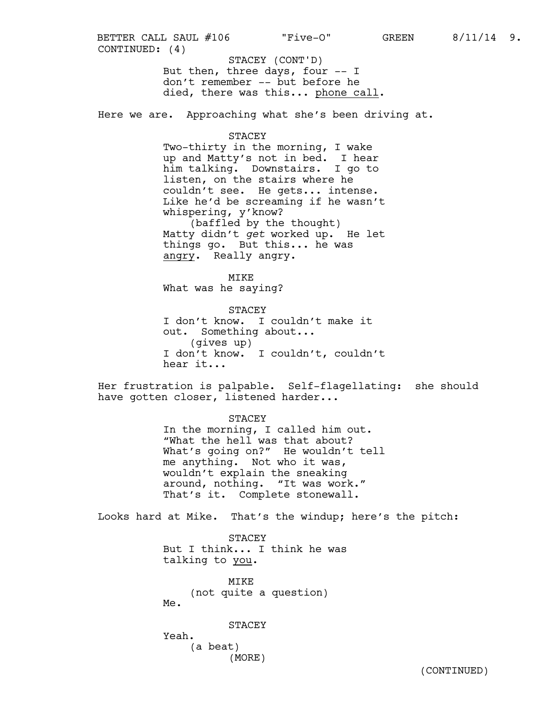But then, three days, four -- I don't remember -- but before he died, there was this... phone call. CONTINUED: (4) STACEY (CONT'D) BETTER CALL SAUL #106 "Five-O" GREEN 8/11/14 9.

Here we are. Approaching what she's been driving at.

#### STACEY

Two-thirty in the morning, I wake up and Matty's not in bed. I hear him talking. Downstairs. I go to listen, on the stairs where he couldn't see. He gets... intense. Like he'd be screaming if he wasn't whispering, y'know? (baffled by the thought)

Matty didn't *get* worked up. He let things go. But this... he was angry. Really angry.

MIKE What was he saying?

STACEY I don't know. I couldn't make it out. Something about... (gives up) I don't know. I couldn't, couldn't hear it...

Her frustration is palpable. Self-flagellating: she should have gotten closer, listened harder...

#### STACEY

In the morning, I called him out. "What the hell was that about? What's going on?" He wouldn't tell me anything. Not who it was, wouldn't explain the sneaking around, nothing. "It was work." That's it. Complete stonewall.

Looks hard at Mike. That's the windup; here's the pitch:

STACEY But I think... I think he was talking to you.

MIKE (not quite a question) Me.

STACEY

Yeah. (a beat) (MORE)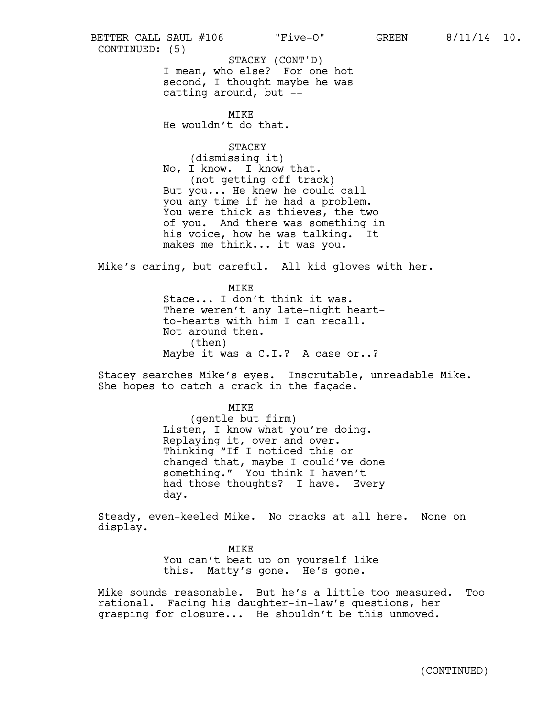I mean, who else? For one hot second, I thought maybe he was catting around, but -- MIKE He wouldn't do that. **STACEY** (dismissing it) No, I know. I know that. (not getting off track) But you... He knew he could call CONTINUED: (5) STACEY (CONT'D) BETTER CALL SAUL #106 "Five-O" GREEN 8/11/14 10.

you any time if he had a problem. You were thick as thieves, the two of you. And there was something in his voice, how he was talking. It makes me think... it was you.

Mike's caring, but careful. All kid gloves with her.

MIKE Stace... I don't think it was. There weren't any late-night heartto-hearts with him I can recall. Not around then. (then) Maybe it was a C.I.? A case or..?

Stacey searches Mike's eyes. Inscrutable, unreadable Mike.<br>She hopes to catch a crack in the façade.

MIKE

(gentle but firm) Listen, I know what you're doing. Replaying it, over and over. Thinking "If I noticed this or changed that, maybe I could've done something." You think I haven't had those thoughts? I have. Every day.

Steady, even-keeled Mike. No cracks at all here. None on display.

> MIKE You can't beat up on yourself like this. Matty's gone. He's gone.

Mike sounds reasonable. But he's a little too measured. Too rational. Facing his daughter-in-law's questions, her grasping for closure... He shouldn't be this unmoved.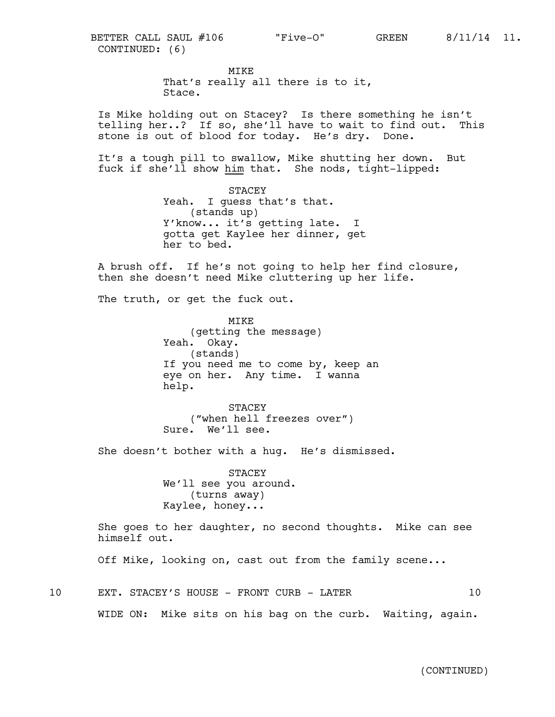MIKE That's really all there is to it, Stace.

Is Mike holding out on Stacey? Is there something he isn't telling her..? If so, she'll have to wait to find out. This stone is out of blood for today. He's dry. Done.

It's a tough pill to swallow, Mike shutting her down. But fuck if she'll show him that. She nods, tight-lipped:

> STACEY Yeah. I quess that's that. (stands up) Y'know... it's getting late. I gotta get Kaylee her dinner, get her to bed.

A brush off. If he's not going to help her find closure, then she doesn't need Mike cluttering up her life.

The truth, or get the fuck out.

MIKE (getting the message) Yeah. Okay. (stands) If you need me to come by, keep an eye on her. Any time. I wanna help.

STACEY ("when hell freezes over") Sure. We'll see.

She doesn't bother with a hug. He's dismissed.

STACEY We'll see you around. (turns away) Kaylee, honey...

She goes to her daughter, no second thoughts. Mike can see himself out.

Off Mike, looking on, cast out from the family scene...

10 EXT. STACEY'S HOUSE - FRONT CURB - LATER 10

WIDE ON: Mike sits on his bag on the curb. Waiting, again.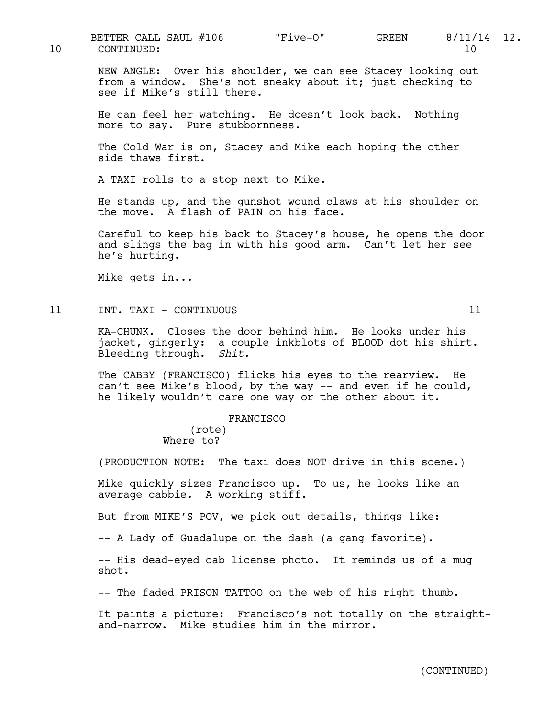10 CONTINUED: 10 BETTER CALL SAUL #106  $\overline{F1}$ ve-O" GREEN 8/11/14 12.

NEW ANGLE: Over his shoulder, we can see Stacey looking out from a window. She's not sneaky about it; just checking to see if Mike's still there.

He can feel her watching. He doesn't look back. Nothing more to say. Pure stubbornness.

The Cold War is on, Stacey and Mike each hoping the other side thaws first.

A TAXI rolls to a stop next to Mike.

He stands up, and the gunshot wound claws at his shoulder on the move. A flash of PAIN on his face.

Careful to keep his back to Stacey's house, he opens the door and slings the bag in with his good arm. Can't let her see he's hurting.

Mike gets in...

11 INT. TAXI - CONTINUOUS 11

KA-CHUNK. Closes the door behind him. He looks under his jacket, gingerly: a couple inkblots of BLOOD dot his shirt. Bleeding through. *Shit.*

The CABBY (FRANCISCO) flicks his eyes to the rearview. He can't see Mike's blood, by the way -- and even if he could, he likely wouldn't care one way or the other about it.

## FRANCISCO

(rote) Where to?

(PRODUCTION NOTE: The taxi does NOT drive in this scene.)

Mike quickly sizes Francisco up. To us, he looks like an average cabbie. A working stiff.

But from MIKE'S POV, we pick out details, things like:

-- A Lady of Guadalupe on the dash (a gang favorite).

-- His dead-eyed cab license photo. It reminds us of a mug shot.

-- The faded PRISON TATTOO on the web of his right thumb.

It paints a picture: Francisco's not totally on the straightand-narrow. Mike studies him in the mirror.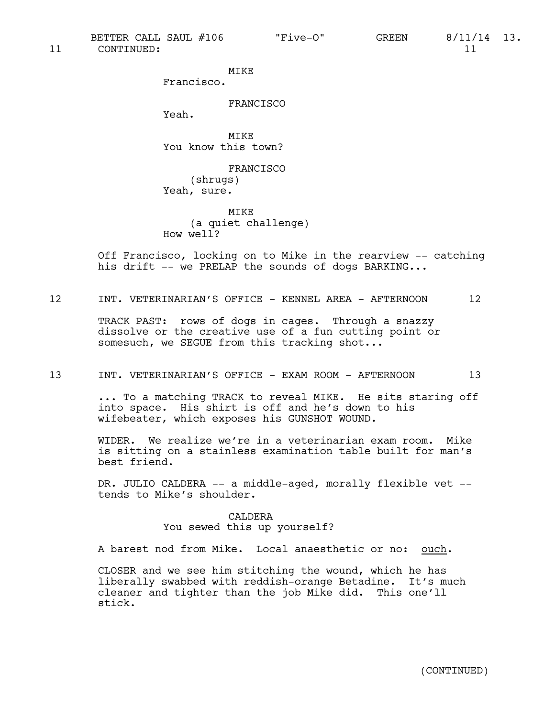BETTER CALL SAUL #106  $\qquad$  "Five-O" GREEN 8/11/14 13.

MIKE

Francisco.

# FRANCISCO

Yeah.

MIKE You know this town?

FRANCISCO (shrugs) Yeah, sure.

MIKE (a quiet challenge) How well?

Off Francisco, locking on to Mike in the rearview -- catching his drift  $-$ - we PRELAP the sounds of dogs BARKING...

## 12 INT. VETERINARIAN'S OFFICE - KENNEL AREA - AFTERNOON 12

TRACK PAST: rows of dogs in cages. Through a snazzy dissolve or the creative use of a fun cutting point or somesuch, we SEGUE from this tracking shot...

#### 13 INT. VETERINARIAN'S OFFICE - EXAM ROOM - AFTERNOON 13

... To a matching TRACK to reveal MIKE. He sits staring off into space. His shirt is off and he's down to his wifebeater, which exposes his GUNSHOT WOUND.

WIDER. We realize we're in a veterinarian exam room. Mike is sitting on a stainless examination table built for man's best friend.

DR. JULIO CALDERA -- a middle-aged, morally flexible vet - tends to Mike's shoulder.

# CALDERA You sewed this up yourself?

A barest nod from Mike. Local anaesthetic or no: ouch.

CLOSER and we see him stitching the wound, which he has liberally swabbed with reddish-orange Betadine. It's much cleaner and tighter than the job Mike did. This one'll stick.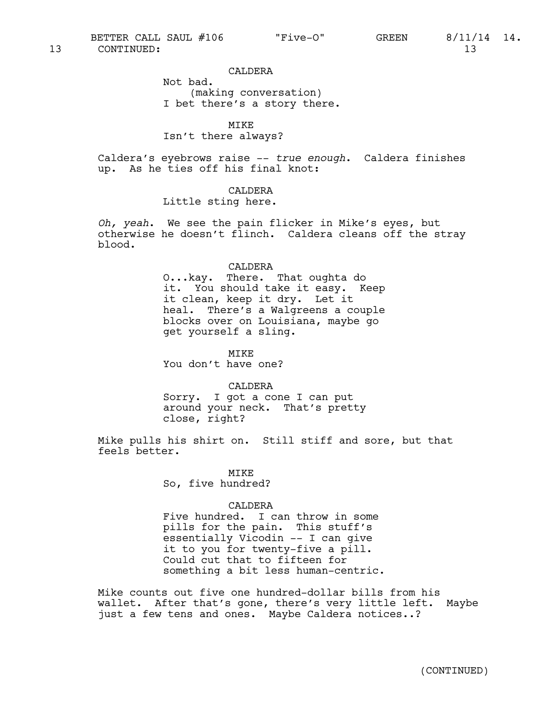CALDERA

Not bad. (making conversation) I bet there's a story there.

MIKE Isn't there always?

Caldera's eyebrows raise -- *true enough*. Caldera finishes up. As he ties off his final knot:

# CALDERA

Little sting here.

*Oh, yeah*. We see the pain flicker in Mike's eyes, but otherwise he doesn't flinch. Caldera cleans off the stray blood.

#### CALDERA

O...kay. There. That oughta do it. You should take it easy. Keep it clean, keep it dry. Let it heal. There's a Walgreens a couple blocks over on Louisiana, maybe go get yourself a sling.

MIKE

You don't have one?

CALDERA

Sorry. I got a cone I can put around your neck. That's pretty close, right?

Mike pulls his shirt on. Still stiff and sore, but that feels better.

> MIKE So, five hundred?

## CALDERA

Five hundred. I can throw in some pills for the pain. This stuff's essentially Vicodin -- I can give it to you for twenty-five a pill. Could cut that to fifteen for something a bit less human-centric.

Mike counts out five one hundred-dollar bills from his wallet. After that's gone, there's very little left. Maybe just a few tens and ones. Maybe Caldera notices..?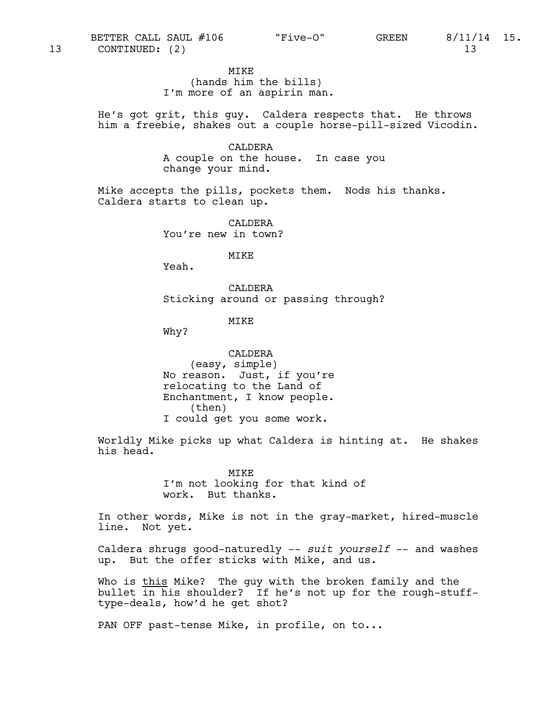MIKE

(hands him the bills) I'm more of an aspirin man.

He's got grit, this guy. Caldera respects that. He throws him a freebie, shakes out a couple horse-pill-sized Vicodin.

> CALDERA A couple on the house. In case you change your mind.

Mike accepts the pills, pockets them. Nods his thanks. Caldera starts to clean up.

> CALDERA You're new in town?

> > MIKE

Yeah.

CALDERA Sticking around or passing through?

MIKE

Why?

CALDERA (easy, simple) No reason. Just, if you're relocating to the Land of Enchantment, I know people. (then) I could get you some work.

Worldly Mike picks up what Caldera is hinting at. He shakes his head.

> MIKE I'm not looking for that kind of work. But thanks.

In other words, Mike is not in the gray-market, hired-muscle line. Not yet.

Caldera shrugs good-naturedly -- *suit yourself* -- and washes up. But the offer sticks with Mike, and us.

Who is this Mike? The guy with the broken family and the bullet in his shoulder? If he's not up for the rough-stufftype-deals, how'd he get shot?

PAN OFF past-tense Mike, in profile, on to...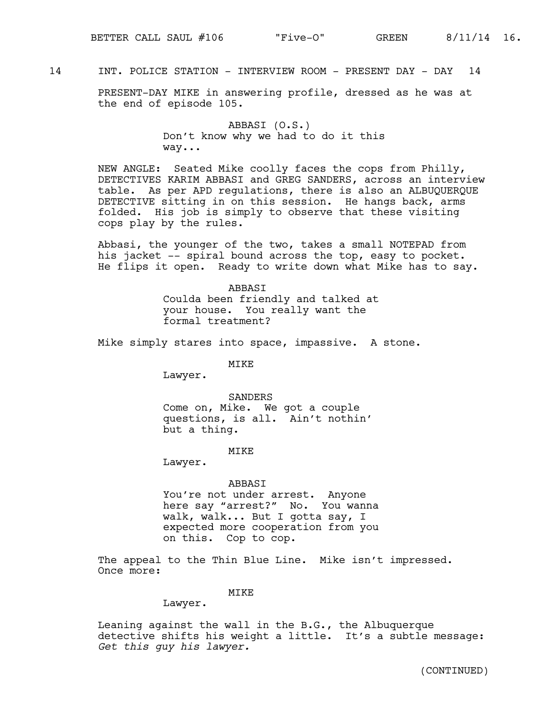# 14 INT. POLICE STATION - INTERVIEW ROOM - PRESENT DAY - DAY 14

PRESENT-DAY MIKE in answering profile, dressed as he was at the end of episode 105.

> ABBASI (O.S.) Don't know why we had to do it this way...

NEW ANGLE: Seated Mike coolly faces the cops from Philly, DETECTIVES KARIM ABBASI and GREG SANDERS, across an interview table. As per APD regulations, there is also an ALBUQUERQUE DETECTIVE sitting in on this session. He hangs back, arms folded. His job is simply to observe that these visiting cops play by the rules.

Abbasi, the younger of the two, takes a small NOTEPAD from his jacket -- spiral bound across the top, easy to pocket. He flips it open. Ready to write down what Mike has to say.

> ABBASI Coulda been friendly and talked at your house. You really want the formal treatment?

Mike simply stares into space, impassive. A stone.

MIKE

Lawyer.

SANDERS Come on, Mike. We got a couple questions, is all. Ain't nothin' but a thing.

#### MIKE

Lawyer.

## ABBASI

You're not under arrest. Anyone here say "arrest?" No. You wanna walk, walk... But I gotta say, I expected more cooperation from you on this. Cop to cop.

The appeal to the Thin Blue Line. Mike isn't impressed. Once more:

## MIKE

Lawyer.

Leaning against the wall in the B.G., the Albuquerque detective shifts his weight a little. It's a subtle message: *Get this guy his lawyer.*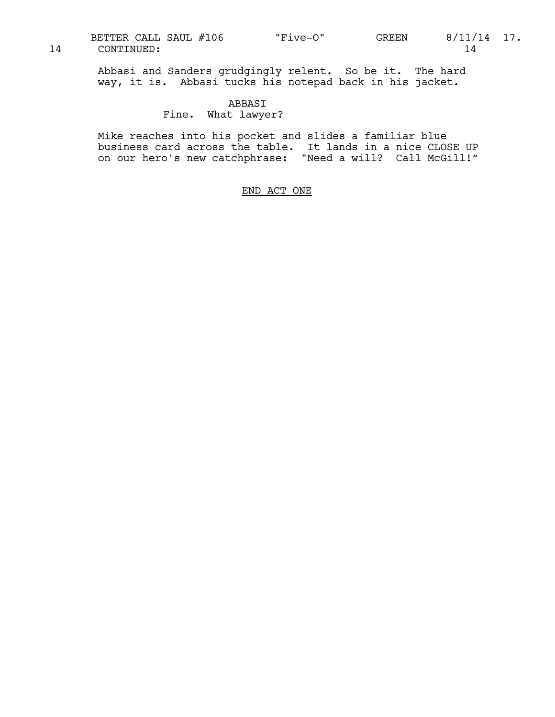Abbasi and Sanders grudgingly relent. So be it. The hard way, it is. Abbasi tucks his notepad back in his jacket.

#### ABBASI

Fine. What lawyer?

Mike reaches into his pocket and slides a familiar blue business card across the table. It lands in a nice CLOSE UP on our hero's new catchphrase: "Need a will? Call McGill!"

# END ACT ONE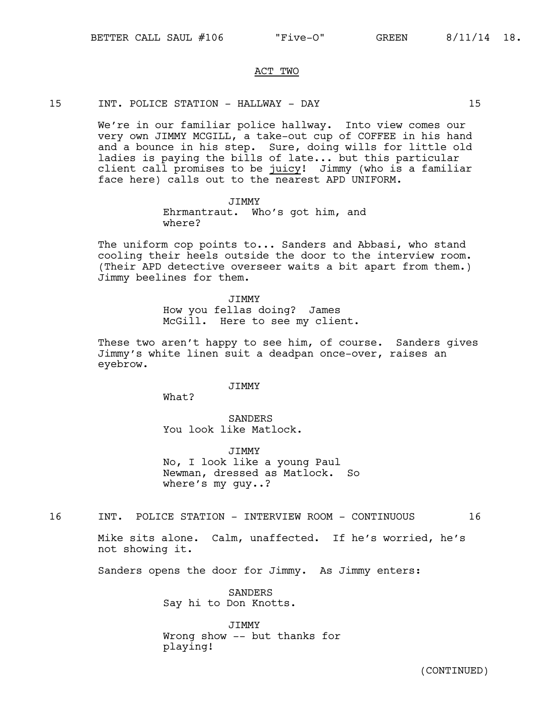## ACT TWO

#### 15 INT. POLICE STATION - HALLWAY - DAY 15

We're in our familiar police hallway. Into view comes our very own JIMMY MCGILL, a take-out cup of COFFEE in his hand and a bounce in his step. Sure, doing wills for little old ladies is paying the bills of late... but this particular client call promises to be juicy! Jimmy (who is a familiar face here) calls out to the nearest APD UNIFORM.

> **JTMMY** Ehrmantraut. Who's got him, and where?

The uniform cop points to... Sanders and Abbasi, who stand cooling their heels outside the door to the interview room. (Their APD detective overseer waits a bit apart from them.) Jimmy beelines for them.

> JIMMY How you fellas doing? James McGill. Here to see my client.

These two aren't happy to see him, of course. Sanders qives Jimmy's white linen suit a deadpan once-over, raises an eyebrow.

#### **JTMMY**

What?

SANDERS You look like Matlock.

JIMMY No, I look like a young Paul Newman, dressed as Matlock. So where's my guy..?

16 INT. POLICE STATION - INTERVIEW ROOM - CONTINUOUS 16

Mike sits alone. Calm, unaffected. If he's worried, he's not showing it.

Sanders opens the door for Jimmy. As Jimmy enters:

SANDERS Say hi to Don Knotts.

JIMMY Wrong show -- but thanks for playing!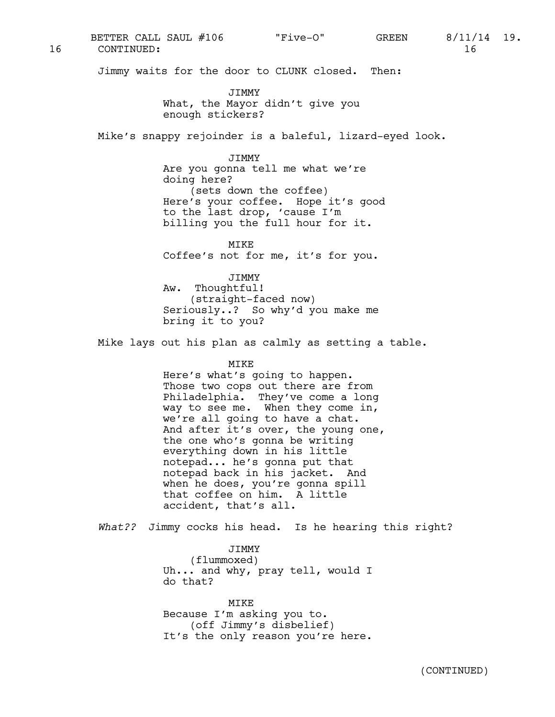16 CONTINUED: 16 BETTER CALL SAUL #106  $\qquad$  "Five-O" GREEN 8/11/14 19.

Jimmy waits for the door to CLUNK closed. Then:

JIMMY What, the Mayor didn't give you enough stickers?

Mike's snappy rejoinder is a baleful, lizard-eyed look.

JIMMY

Are you gonna tell me what we're doing here? (sets down the coffee) Here's your coffee. Hope it's good to the last drop, 'cause I'm billing you the full hour for it.

MIKE Coffee's not for me, it's for you.

JIMMY Aw. Thoughtful! (straight-faced now) Seriously..? So why'd you make me bring it to you?

Mike lays out his plan as calmly as setting a table.

MIKE

Here's what's going to happen. Those two cops out there are from Philadelphia. They've come a long way to see me. When they come in, we're all going to have a chat. And after it's over, the young one, the one who's gonna be writing everything down in his little notepad... he's gonna put that notepad back in his jacket. And when he does, you're gonna spill that coffee on him. A little accident, that's all.

*What??* Jimmy cocks his head. Is he hearing this right?

JIMMY (flummoxed) Uh... and why, pray tell, would I do that?

MIKE Because I'm asking you to. (off Jimmy's disbelief) It's the only reason you're here.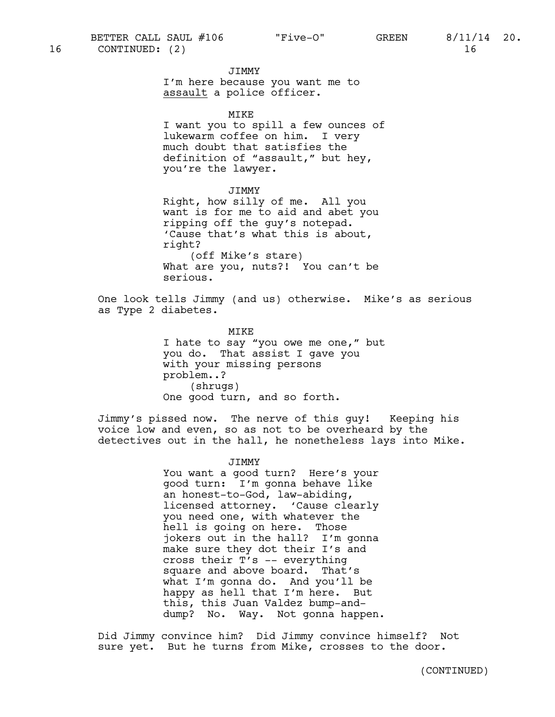#### JIMMY

I'm here because you want me to assault a police officer.

MIKE

I want you to spill a few ounces of lukewarm coffee on him. I very much doubt that satisfies the definition of "assault," but hey, you're the lawyer.

JIMMY

Right, how silly of me. All you want is for me to aid and abet you ripping off the guy's notepad. 'Cause that's what this is about, right? (off Mike's stare) What are you, nuts?! You can't be serious.

One look tells Jimmy (and us) otherwise. Mike's as serious as Type 2 diabetes.

> MIKE I hate to say "you owe me one," but you do. That assist I gave you with your missing persons problem..? (shrugs) One good turn, and so forth.

Jimmy's pissed now. The nerve of this guy! Keeping his voice low and even, so as not to be overheard by the detectives out in the hall, he nonetheless lays into Mike.

## JIMMY

You want a good turn? Here's your good turn: I'm gonna behave like an honest-to-God, law-abiding, licensed attorney. 'Cause clearly you need one, with whatever the hell is going on here. Those jokers out in the hall? I'm gonna make sure they dot their I's and cross their T's -- everything square and above board. That's what I'm gonna do. And you'll be happy as hell that I'm here. But this, this Juan Valdez bump-anddump? No. Way. Not gonna happen.

Did Jimmy convince him? Did Jimmy convince himself? Not sure yet. But he turns from Mike, crosses to the door.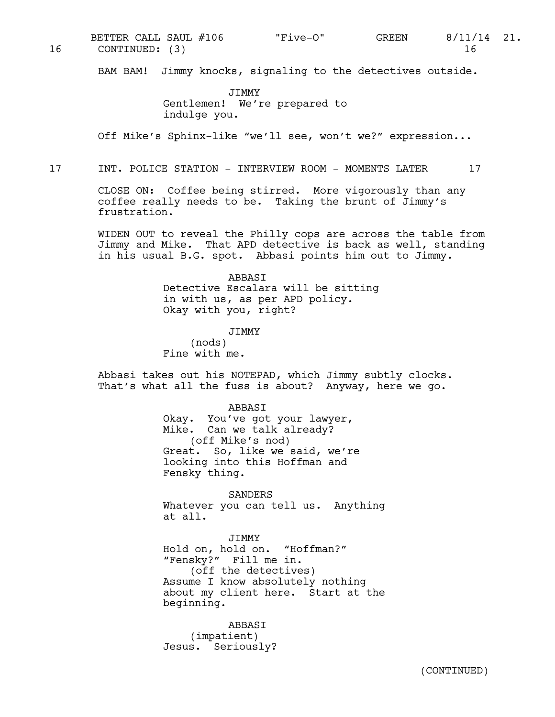16 CONTINUED: (3) 16 BETTER CALL SAUL #106  $\qquad$  "Five-O" GREEN 8/11/14 21.

BAM BAM! Jimmy knocks, signaling to the detectives outside.

JIMMY Gentlemen! We're prepared to indulge you.

Off Mike's Sphinx-like "we'll see, won't we?" expression...

17 INT. POLICE STATION - INTERVIEW ROOM - MOMENTS LATER 17

CLOSE ON: Coffee being stirred. More vigorously than any coffee really needs to be. Taking the brunt of Jimmy's frustration.

WIDEN OUT to reveal the Philly cops are across the table from Jimmy and Mike. That APD detective is back as well, standing in his usual B.G. spot. Abbasi points him out to Jimmy.

> ABBASI Detective Escalara will be sitting in with us, as per APD policy. Okay with you, right?

> > JIMMY

(nods) Fine with me.

Abbasi takes out his NOTEPAD, which Jimmy subtly clocks. That's what all the fuss is about? Anyway, here we go.

> ABBASI Okay. You've got your lawyer, Mike. Can we talk already? (off Mike's nod) Great. So, like we said, we're looking into this Hoffman and Fensky thing.

SANDERS Whatever you can tell us. Anything at all.

JIMMY Hold on, hold on. "Hoffman?" "Fensky?" Fill me in. (off the detectives) Assume I know absolutely nothing about my client here. Start at the beginning.

ABBASI (impatient) Jesus. Seriously?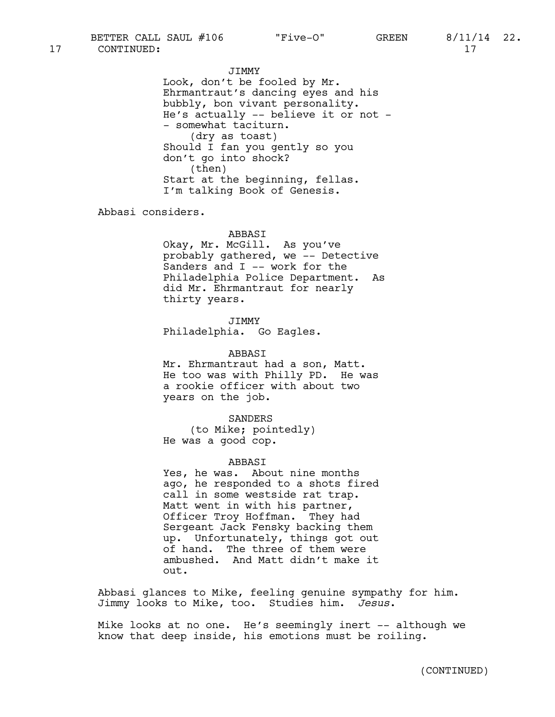JIMMY Look, don't be fooled by Mr. Ehrmantraut's dancing eyes and his bubbly, bon vivant personality. He's actually -- believe it or not - - somewhat taciturn. (dry as toast) Should I fan you gently so you don't go into shock? (then) Start at the beginning, fellas. I'm talking Book of Genesis.

Abbasi considers.

#### ABBASI

Okay, Mr. McGill. As you've probably gathered, we -- Detective Sanders and I -- work for the Philadelphia Police Department. As did Mr. Ehrmantraut for nearly thirty years.

JIMMY Philadelphia. Go Eagles.

ABBASI

Mr. Ehrmantraut had a son, Matt. He too was with Philly PD. He was a rookie officer with about two years on the job.

SANDERS (to Mike; pointedly) He was a good cop.

## ABBASI

Yes, he was. About nine months ago, he responded to a shots fired call in some westside rat trap. Matt went in with his partner, Officer Troy Hoffman. They had Sergeant Jack Fensky backing them up. Unfortunately, things got out of hand. The three of them were ambushed. And Matt didn't make it out.

Abbasi glances to Mike, feeling genuine sympathy for him. Jimmy looks to Mike, too. Studies him. *Jesus*.

Mike looks at no one. He's seemingly inert -- although we know that deep inside, his emotions must be roiling.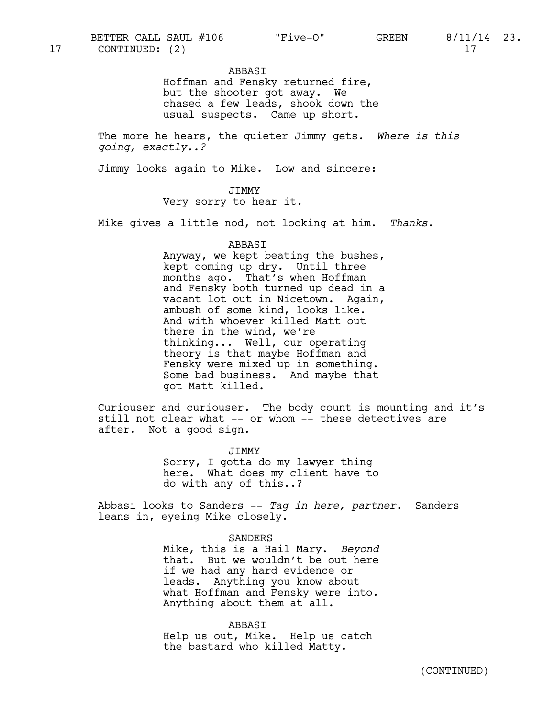ABBASI

Hoffman and Fensky returned fire, but the shooter got away. We chased a few leads, shook down the usual suspects. Came up short.

The more he hears, the quieter Jimmy gets. *Where is this going, exactly..?*

Jimmy looks again to Mike. Low and sincere:

## JIMMY

Very sorry to hear it.

Mike gives a little nod, not looking at him. *Thanks*.

#### ABBASI

Anyway, we kept beating the bushes, kept coming up dry. Until three months ago. That's when Hoffman and Fensky both turned up dead in a vacant lot out in Nicetown. Again, ambush of some kind, looks like. And with whoever killed Matt out there in the wind, we're thinking... Well, our operating theory is that maybe Hoffman and Fensky were mixed up in something. Some bad business. And maybe that got Matt killed.

Curiouser and curiouser. The body count is mounting and it's still not clear what -- or whom -- these detectives are after. Not a good sign.

> JIMMY Sorry, I gotta do my lawyer thing here. What does my client have to do with any of this..?

Abbasi looks to Sanders -- *Tag in here, partner.* Sanders leans in, eyeing Mike closely.

#### SANDERS

Mike, this is a Hail Mary. *Beyond* that. But we wouldn't be out here if we had any hard evidence or leads. Anything you know about what Hoffman and Fensky were into. Anything about them at all.

ABBASI Help us out, Mike. Help us catch the bastard who killed Matty.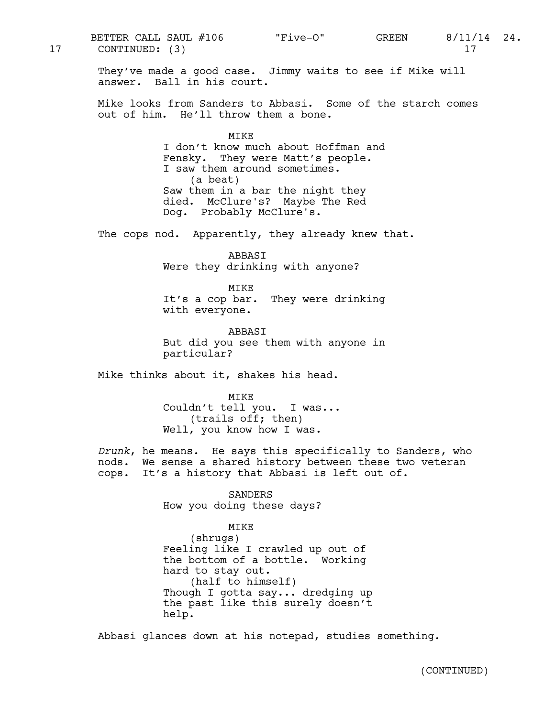They've made a good case. Jimmy waits to see if Mike will answer. Ball in his court. Mike looks from Sanders to Abbasi. Some of the starch comes out of him. He'll throw them a bone. MIKE I don't know much about Hoffman and Fensky. They were Matt's people. I saw them around sometimes. (a beat) Saw them in a bar the night they died. McClure's? Maybe The Red Dog. Probably McClure's. The cops nod. Apparently, they already knew that. ABBASI Were they drinking with anyone? MIKE It's a cop bar. They were drinking with everyone. ABBASI But did you see them with anyone in particular? Mike thinks about it, shakes his head. MIKE Couldn't tell you. I was... (trails off; then) Well, you know how I was. *Drunk*, he means. He says this specifically to Sanders, who nods. We sense a shared history between these two veteran cops. It's a history that Abbasi is left out of. SANDERS How you doing these days? MIKE (shrugs) Feeling like I crawled up out of the bottom of a bottle. Working hard to stay out. (half to himself) Though I gotta say... dredging up the past like this surely doesn't help. 17 CONTINUED: (3) 17

BETTER CALL SAUL #106  $\qquad$  "Five-O" GREEN 8/11/14 24.

Abbasi glances down at his notepad, studies something.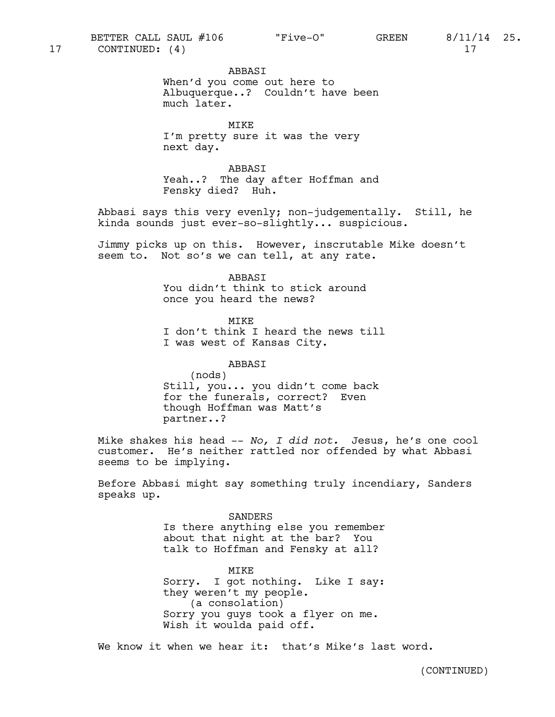ABBASI

When'd you come out here to Albuquerque..? Couldn't have been much later.

MIKE I'm pretty sure it was the very next day.

ABBASI Yeah..? The day after Hoffman and Fensky died? Huh.

Abbasi says this very evenly; non-judgementally. Still, he kinda sounds just ever-so-slightly... suspicious.

Jimmy picks up on this. However, inscrutable Mike doesn't seem to. Not so's we can tell, at any rate.

**ABBAST** 

You didn't think to stick around once you heard the news?

MTK<sub>E</sub> I don't think I heard the news till I was west of Kansas City.

ABBASI (nods) Still, you... you didn't come back for the funerals, correct? Even though Hoffman was Matt's partner..?

Mike shakes his head -- *No, I did not.* Jesus, he's one cool customer. He's neither rattled nor offended by what Abbasi seems to be implying.

Before Abbasi might say something truly incendiary, Sanders speaks up.

> SANDERS Is there anything else you remember about that night at the bar? You talk to Hoffman and Fensky at all?

> MIKE Sorry. I got nothing. Like I say: they weren't my people. (a consolation) Sorry you guys took a flyer on me. Wish it woulda paid off.

We know it when we hear it: that's Mike's last word.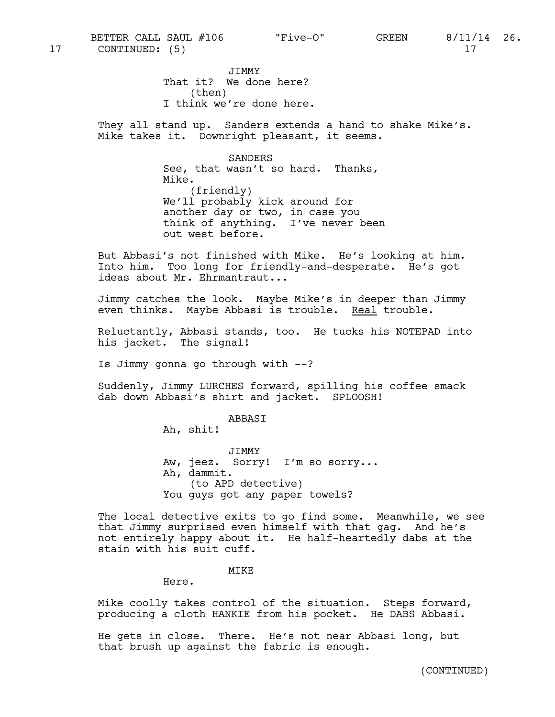JIMMY That it? We done here? (then) I think we're done here.

They all stand up. Sanders extends a hand to shake Mike's. Mike takes it. Downright pleasant, it seems.

> SANDERS See, that wasn't so hard. Thanks, Mike. (friendly) We'll probably kick around for another day or two, in case you think of anything. I've never been out west before.

But Abbasi's not finished with Mike. He's looking at him. Into him. Too long for friendly-and-desperate. He's got ideas about Mr. Ehrmantraut...

Jimmy catches the look. Maybe Mike's in deeper than Jimmy even thinks. Maybe Abbasi is trouble. Real trouble.

Reluctantly, Abbasi stands, too. He tucks his NOTEPAD into his jacket. The signal!

Is Jimmy gonna go through with --?

Suddenly, Jimmy LURCHES forward, spilling his coffee smack dab down Abbasi's shirt and jacket. SPLOOSH!

ABBASI

Ah, shit!

JIMMY Aw, jeez. Sorry! I'm so sorry... Ah, dammit. (to APD detective) You guys got any paper towels?

The local detective exits to go find some. Meanwhile, we see that Jimmy surprised even himself with that gag. And he's not entirely happy about it. He half-heartedly dabs at the stain with his suit cuff.

#### MIKE

Here.

Mike coolly takes control of the situation. Steps forward, producing a cloth HANKIE from his pocket. He DABS Abbasi.

He gets in close. There. He's not near Abbasi long, but that brush up against the fabric is enough.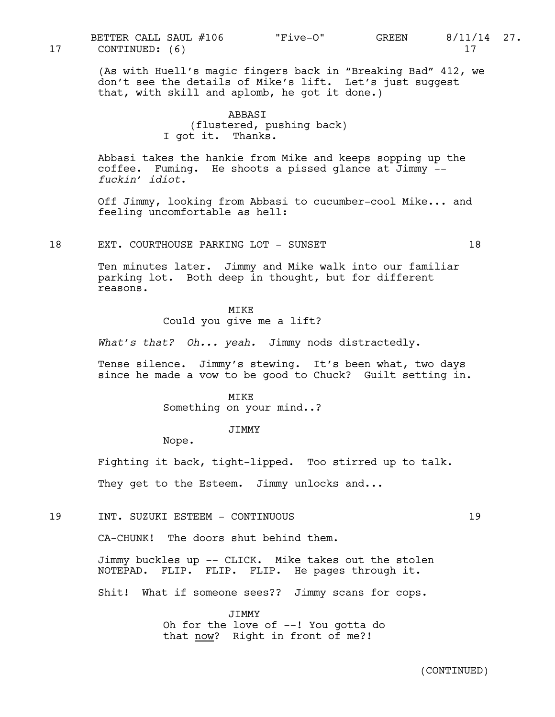(As with Huell's magic fingers back in "Breaking Bad" 412, we don't see the details of Mike's lift. Let's just suggest that, with skill and aplomb, he got it done.)

# ABBASI (flustered, pushing back) I got it. Thanks.

Abbasi takes the hankie from Mike and keeps sopping up the coffee. Fuming. He shoots a pissed glance at Jimmy - *fuckin' idiot*.

Off Jimmy, looking from Abbasi to cucumber-cool Mike... and feeling uncomfortable as hell:

18 EXT. COURTHOUSE PARKING LOT - SUNSET 18

Ten minutes later. Jimmy and Mike walk into our familiar parking lot. Both deep in thought, but for different reasons.

## MIKE

Could you give me a lift?

*What's that? Oh... yeah.* Jimmy nods distractedly.

Tense silence. Jimmy's stewing. It's been what, two days since he made a vow to be good to Chuck? Guilt setting in.

#### MIKE

Something on your mind..?

#### JIMMY

Nope.

Fighting it back, tight-lipped. Too stirred up to talk.

They get to the Esteem. Jimmy unlocks and...

19 INT. SUZUKI ESTEEM - CONTINUOUS 19

CA-CHUNK! The doors shut behind them.

Jimmy buckles up -- CLICK. Mike takes out the stolen NOTEPAD. FLIP. FLIP. FLIP. He pages through it.

Shit! What if someone sees?? Jimmy scans for cops.

JIMMY Oh for the love of --! You gotta do that now? Right in front of me?!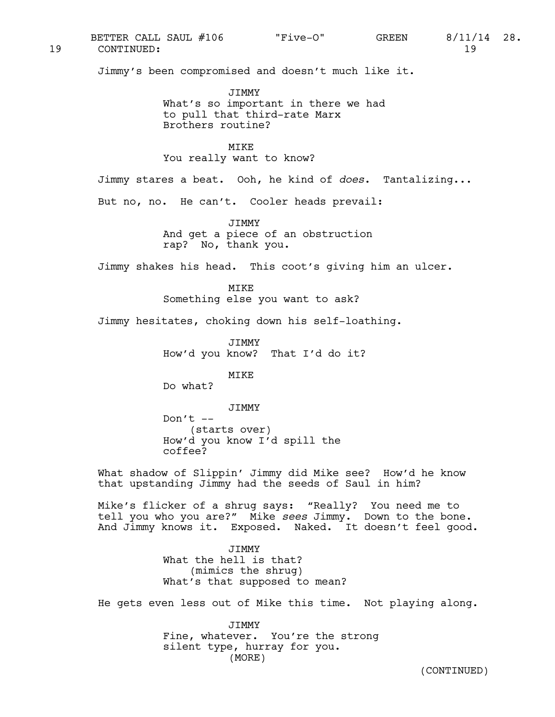19 CONTINUED: 19 BETTER CALL SAUL #106  $\qquad$  "Five-O" GREEN 8/11/14 28.

Jimmy's been compromised and doesn't much like it.

JIMMY What's so important in there we had to pull that third-rate Marx Brothers routine?

**MTKE** You really want to know?

Jimmy stares a beat. Ooh, he kind of *does*. Tantalizing...

But no, no. He can't. Cooler heads prevail:

JIMMY And get a piece of an obstruction rap? No, thank you.

Jimmy shakes his head. This coot's giving him an ulcer.

MIKE Something else you want to ask?

Jimmy hesitates, choking down his self-loathing.

JIMMY How'd you know? That I'd do it?

MIKE

Do what?

JIMMY

Don't  $--$ (starts over) How'd you know I'd spill the coffee?

What shadow of Slippin' Jimmy did Mike see? How'd he know that upstanding Jimmy had the seeds of Saul in him?

Mike's flicker of a shrug says: "Really? You need me to tell you who you are?" Mike *sees* Jimmy. Down to the bone. And Jimmy knows it. Exposed. Naked. It doesn't feel good.

> JIMMY What the hell is that? (mimics the shrug) What's that supposed to mean?

He gets even less out of Mike this time. Not playing along.

JIMMY Fine, whatever. You're the strong silent type, hurray for you. (MORE)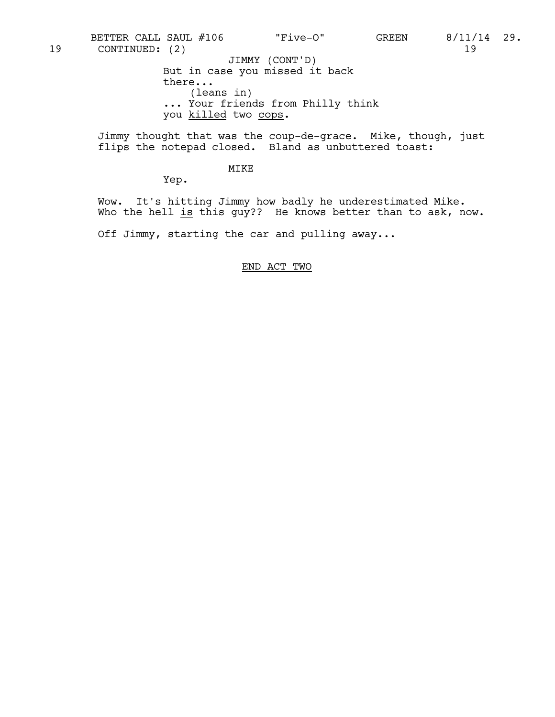But in case you missed it back there... (leans in) ... Your friends from Philly think 19 CONTINUED: (2) 19 JIMMY (CONT'D) BETTER CALL SAUL #106 "Five-O" GREEN 8/11/14 29.

you killed two cops.

Jimmy thought that was the coup-de-grace. Mike, though, just flips the notepad closed. Bland as unbuttered toast:

## MIKE

Yep.

Wow. It's hitting Jimmy how badly he underestimated Mike. Who the hell is this guy?? He knows better than to ask, now.

Off Jimmy, starting the car and pulling away...

# END ACT TWO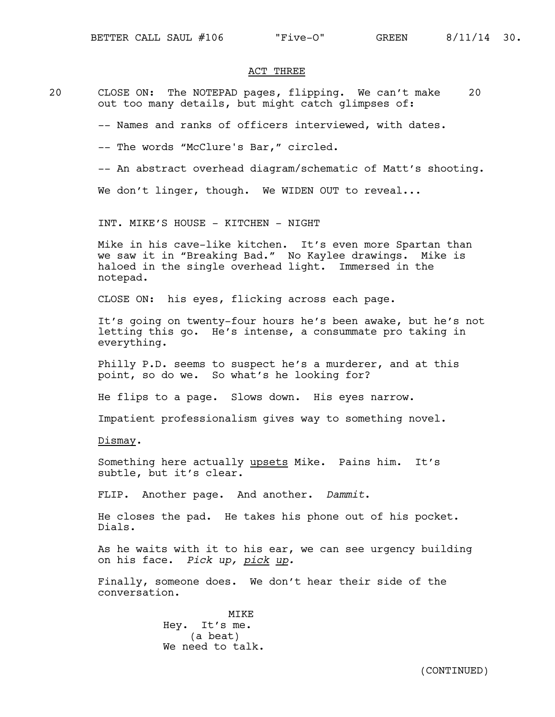## ACT THREE

20 CLOSE ON: The NOTEPAD pages, flipping. We can't make 20 out too many details, but might catch glimpses of:

-- Names and ranks of officers interviewed, with dates.

- -- The words "McClure's Bar," circled.
- -- An abstract overhead diagram/schematic of Matt's shooting.

We don't linger, though. We WIDEN OUT to reveal...

INT. MIKE'S HOUSE - KITCHEN - NIGHT

Mike in his cave-like kitchen. It's even more Spartan than we saw it in "Breaking Bad." No Kaylee drawings. Mike is haloed in the single overhead light. Immersed in the notepad.

CLOSE ON: his eyes, flicking across each page.

It's going on twenty-four hours he's been awake, but he's not letting this go. He's intense, a consummate pro taking in everything.

Philly P.D. seems to suspect he's a murderer, and at this point, so do we. So what's he looking for?

He flips to a page. Slows down. His eyes narrow.

Impatient professionalism gives way to something novel.

Dismay.

Something here actually upsets Mike. Pains him. It's subtle, but it's clear.

FLIP. Another page. And another. *Dammit*.

He closes the pad. He takes his phone out of his pocket. Dials.

As he waits with it to his ear, we can see urgency building on his face. *Pick up, pick up.*

Finally, someone does. We don't hear their side of the conversation.

> MIKE Hey. It's me. (a beat) We need to talk.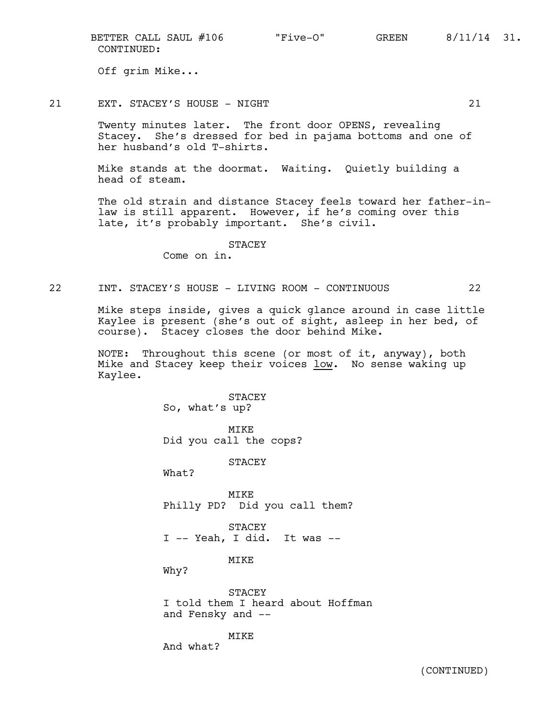CONTINUED: BETTER CALL SAUL #106  $\qquad$  "Five-O" GREEN 8/11/14 31.

Off grim Mike...

21 EXT. STACEY'S HOUSE - NIGHT 21

Twenty minutes later. The front door OPENS, revealing Stacey. She's dressed for bed in pajama bottoms and one of her husband's old T-shirts.

Mike stands at the doormat. Waiting. Quietly building a head of steam.

The old strain and distance Stacey feels toward her father-inlaw is still apparent. However, if he's coming over this late, it's probably important. She's civil.

STACEY

Come on in.

22 INT. STACEY'S HOUSE - LIVING ROOM - CONTINUOUS 22

Mike steps inside, gives a quick glance around in case little Kaylee is present (she's out of sight, asleep in her bed, of course). Stacey closes the door behind Mike.

NOTE: Throughout this scene (or most of it, anyway), both Mike and Stacey keep their voices low. No sense waking up Kaylee.

> STACEY So, what's up? MIKE Did you call the cops? **STACEY** What? MIKE Philly PD? Did you call them? STACEY I -- Yeah, I did. It was -- **MTKE** Why? STACEY I told them I heard about Hoffman and Fensky and --

> > MIKE

And what?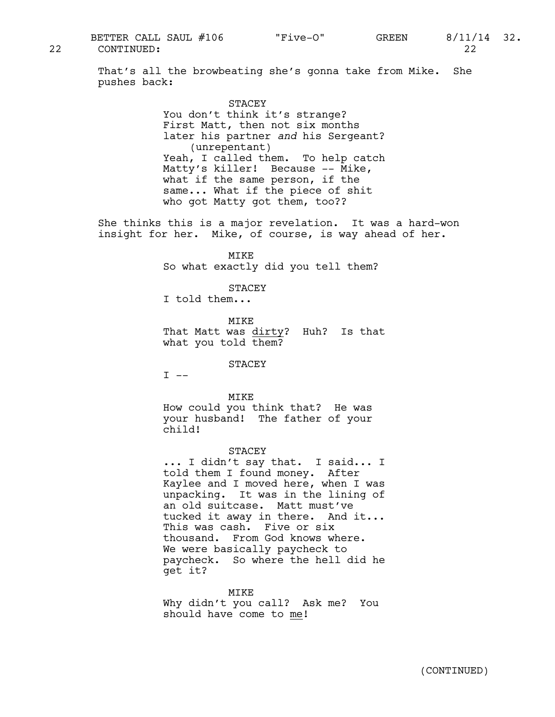That's all the browbeating she's gonna take from Mike. She pushes back:

## STACEY

You don't think it's strange? First Matt, then not six months later his partner *and* his Sergeant? (unrepentant) Yeah, I called them. To help catch Matty's killer! Because -- Mike, what if the same person, if the same... What if the piece of shit who got Matty got them, too??

She thinks this is a major revelation. It was a hard-won insight for her. Mike, of course, is way ahead of her.

> MIKE So what exactly did you tell them?

> > STACEY

I told them...

MTK<sub>E</sub> That Matt was dirty? Huh? Is that what you told them?

STACEY

 $I$   $---$ 

MIKE

How could you think that? He was your husband! The father of your child!

STACEY

... I didn't say that. I said... I told them I found money. After Kaylee and I moved here, when I was unpacking. It was in the lining of an old suitcase. Matt must've tucked it away in there. And it... This was cash. Five or six thousand. From God knows where. We were basically paycheck to paycheck. So where the hell did he get it?

MIKE

Why didn't you call? Ask me? You should have come to me!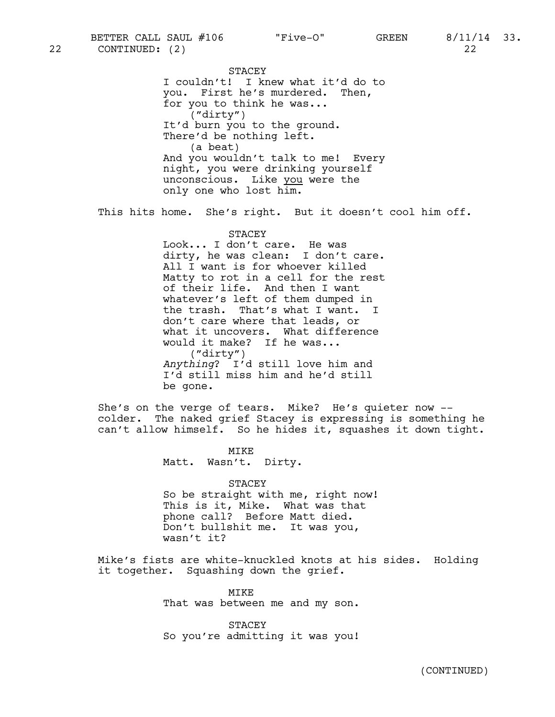STACEY I couldn't! I knew what it'd do to you. First he's murdered. Then, for you to think he was... ("dirty") It'd burn you to the ground. There'd be nothing left. (a beat) And you wouldn't talk to me! Every night, you were drinking yourself unconscious. Like you were the only one who lost him.

This hits home. She's right. But it doesn't cool him off.

# **STACEY**

Look... I don't care. He was dirty, he was clean: I don't care. All I want is for whoever killed Matty to rot in a cell for the rest of their life. And then I want whatever's left of them dumped in the trash. That's what I want. I don't care where that leads, or what it uncovers. What difference would it make? If he was... ("dirty") *Anything*? I'd still love him and I'd still miss him and he'd still be gone.

She's on the verge of tears. Mike? He's quieter now - colder. The naked grief Stacey is expressing is something he can't allow himself. So he hides it, squashes it down tight.

> MIKE Matt. Wasn't. Dirty.

STACEY So be straight with me, right now! This is it, Mike. What was that phone call? Before Matt died. Don't bullshit me. It was you, wasn't it?

Mike's fists are white-knuckled knots at his sides. Holding it together. Squashing down the grief.

> MIKE That was between me and my son.

> STACEY So you're admitting it was you!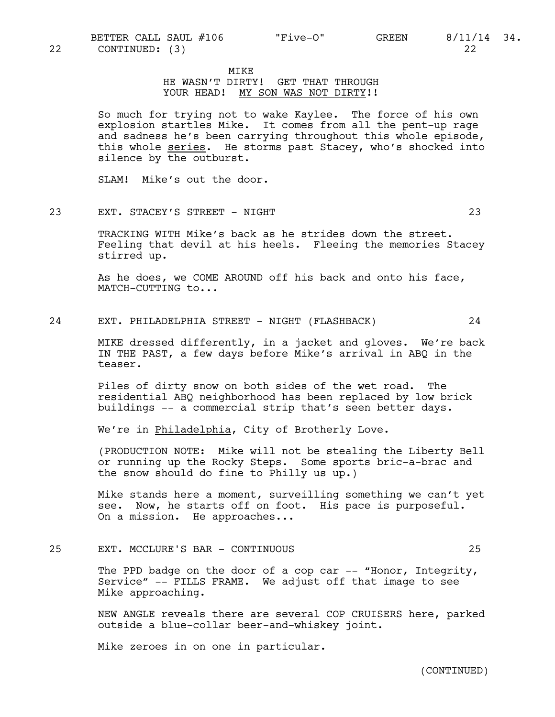MIKE

# HE WASN'T DIRTY! GET THAT THROUGH YOUR HEAD! MY SON WAS NOT DIRTY!!

So much for trying not to wake Kaylee. The force of his own explosion startles Mike. It comes from all the pent-up rage and sadness he's been carrying throughout this whole episode, this whole series. He storms past Stacey, who's shocked into silence by the outburst.

SLAM! Mike's out the door.

## 23 EXT. STACEY'S STREET - NIGHT 23

TRACKING WITH Mike's back as he strides down the street. Feeling that devil at his heels. Fleeing the memories Stacey stirred up.

As he does, we COME AROUND off his back and onto his face, MATCH-CUTTING to...

## 24 EXT. PHILADELPHIA STREET - NIGHT (FLASHBACK) 24

MIKE dressed differently, in a jacket and gloves. We're back IN THE PAST, a few days before Mike's arrival in ABQ in the teaser.

Piles of dirty snow on both sides of the wet road. The residential ABQ neighborhood has been replaced by low brick buildings -- a commercial strip that's seen better days.

We're in Philadelphia, City of Brotherly Love.

(PRODUCTION NOTE: Mike will not be stealing the Liberty Bell or running up the Rocky Steps. Some sports bric-a-brac and the snow should do fine to Philly us up.)

Mike stands here a moment, surveilling something we can't yet see. Now, he starts off on foot. His pace is purposeful. On a mission. He approaches...

# 25 EXT. MCCLURE'S BAR - CONTINUOUS 25

The PPD badge on the door of a cop car  $-$ - "Honor, Integrity, Service" -- FILLS FRAME. We adjust off that image to see Mike approaching.

NEW ANGLE reveals there are several COP CRUISERS here, parked outside a blue-collar beer-and-whiskey joint.

Mike zeroes in on one in particular.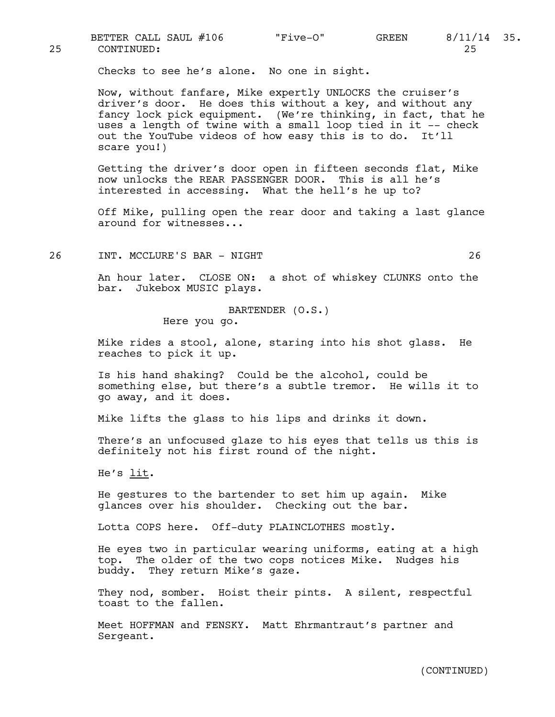Checks to see he's alone. No one in sight.

Now, without fanfare, Mike expertly UNLOCKS the cruiser's driver's door. He does this without a key, and without any fancy lock pick equipment. (We're thinking, in fact, that he uses a length of twine with a small loop tied in it -- check out the YouTube videos of how easy this is to do. It'll scare you!)

Getting the driver's door open in fifteen seconds flat, Mike now unlocks the REAR PASSENGER DOOR. This is all he's interested in accessing. What the hell's he up to?

Off Mike, pulling open the rear door and taking a last glance around for witnesses...

26 INT. MCCLURE'S BAR - NIGHT 26

An hour later. CLOSE ON: a shot of whiskey CLUNKS onto the bar. Jukebox MUSIC plays.

> BARTENDER (O.S.) Here you go.

Mike rides a stool, alone, staring into his shot glass. He reaches to pick it up.

Is his hand shaking? Could be the alcohol, could be something else, but there's a subtle tremor. He wills it to go away, and it does.

Mike lifts the glass to his lips and drinks it down.

There's an unfocused glaze to his eyes that tells us this is definitely not his first round of the night.

He's  $lit$ .</u>

He gestures to the bartender to set him up again. Mike glances over his shoulder. Checking out the bar.

Lotta COPS here. Off-duty PLAINCLOTHES mostly.

He eyes two in particular wearing uniforms, eating at a high top. The older of the two cops notices Mike. Nudges his buddy. They return Mike's gaze.

They nod, somber. Hoist their pints. A silent, respectful toast to the fallen.

Meet HOFFMAN and FENSKY. Matt Ehrmantraut's partner and Sergeant.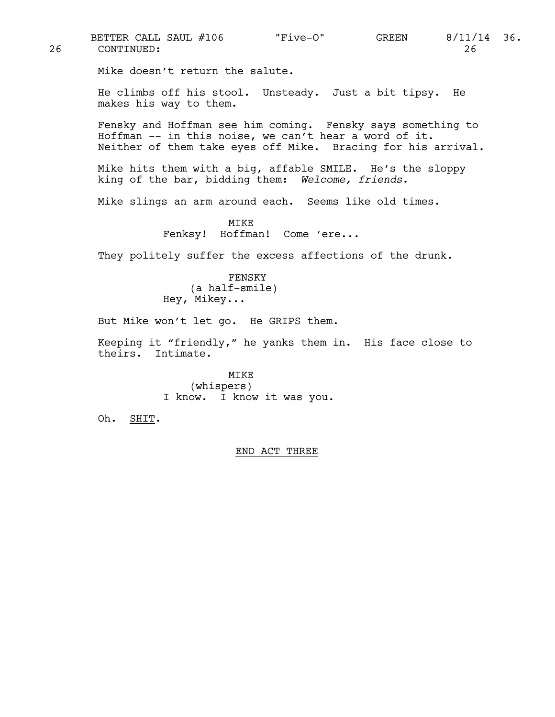Mike doesn't return the salute. He climbs off his stool. Unsteady. Just a bit tipsy. He makes his way to them. Fensky and Hoffman see him coming. Fensky says something to Hoffman -- in this noise, we can't hear a word of it. Neither of them take eyes off Mike. Bracing for his arrival. Mike hits them with a big, affable SMILE. He's the sloppy king of the bar, bidding them: *Welcome, friends*. Mike slings an arm around each. Seems like old times. MIKE Fenksy! Hoffman! Come 'ere... They politely suffer the excess affections of the drunk. FENSKY (a half-smile) Hey, Mikey... But Mike won't let go. He GRIPS them. Keeping it "friendly," he yanks them in. His face close to theirs. Intimate. MIKE (whispers) I know. I know it was you. Oh. SHIT. END ACT THREE 26 CONTINUED: 26 BETTER CALL SAUL #106 "Five-O" GREEN 8/11/14 36.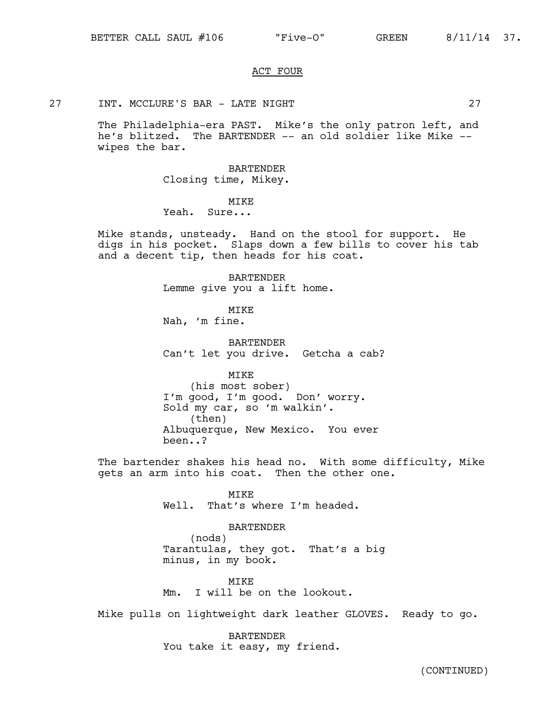#### ACT FOUR

#### 27 INT. MCCLURE'S BAR - LATE NIGHT 27

The Philadelphia-era PAST. Mike's the only patron left, and he's blitzed. The BARTENDER -- an old soldier like Mike -wipes the bar.

BARTENDER

Closing time, Mikey.

# MTK<sub>E</sub>

Yeah. Sure...

Mike stands, unsteady. Hand on the stool for support. He digs in his pocket. Slaps down a few bills to cover his tab and a decent tip, then heads for his coat.

> BARTENDER Lemme give you a lift home.

MIKE Nah, 'm fine.

BARTENDER Can't let you drive. Getcha a cab?

MIKE

(his most sober) I'm good, I'm good. Don' worry. Sold my car, so 'm walkin'.<br>(then) Albuquerque, New Mexico. You ever been..?

The bartender shakes his head no. With some difficulty, Mike gets an arm into his coat. Then the other one.

> MIKE Well. That's where I'm headed.

BARTENDER (nods) Tarantulas, they got. That's a big

minus, in my book. MTK<sub>E</sub>

Mm. I will be on the lookout.

Mike pulls on lightweight dark leather GLOVES. Ready to go.

BARTENDER You take it easy, my friend.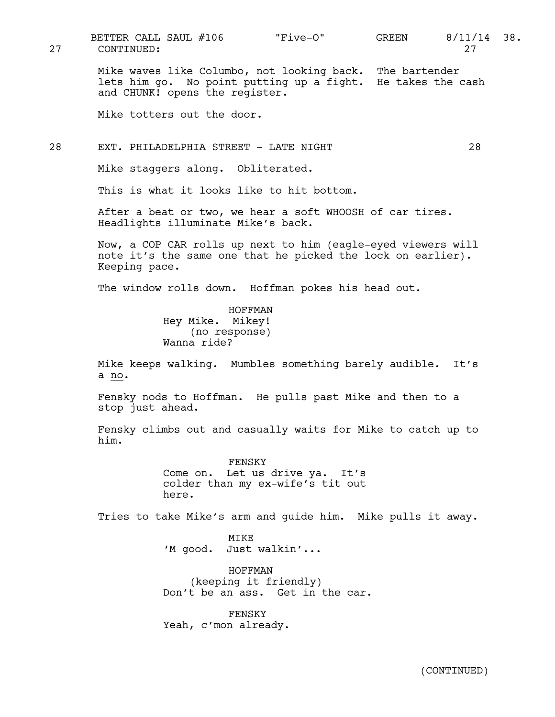27 CONTINUED: 27

Mike waves like Columbo, not looking back. The bartender lets him go. No point putting up a fight. He takes the cash and CHUNK! opens the register.

Mike totters out the door.

## 28 EXT. PHILADELPHIA STREET - LATE NIGHT 28

Mike staggers along. Obliterated.

This is what it looks like to hit bottom.

After a beat or two, we hear a soft WHOOSH of car tires. Headlights illuminate Mike's back.

Now, a COP CAR rolls up next to him (eagle-eyed viewers will note it's the same one that he picked the lock on earlier). Keeping pace.

The window rolls down. Hoffman pokes his head out.

HOFFMAN Hey Mike. Mikey! (no response) Wanna ride?

Mike keeps walking. Mumbles something barely audible. It's a no.

Fensky nods to Hoffman. He pulls past Mike and then to a stop just ahead.

Fensky climbs out and casually waits for Mike to catch up to him.

> FENSKY Come on. Let us drive ya. It's colder than my ex-wife's tit out here.

Tries to take Mike's arm and guide him. Mike pulls it away.

MIKE 'M good. Just walkin'...

HOFFMAN (keeping it friendly) Don't be an ass. Get in the car.

FENSKY Yeah, c'mon already.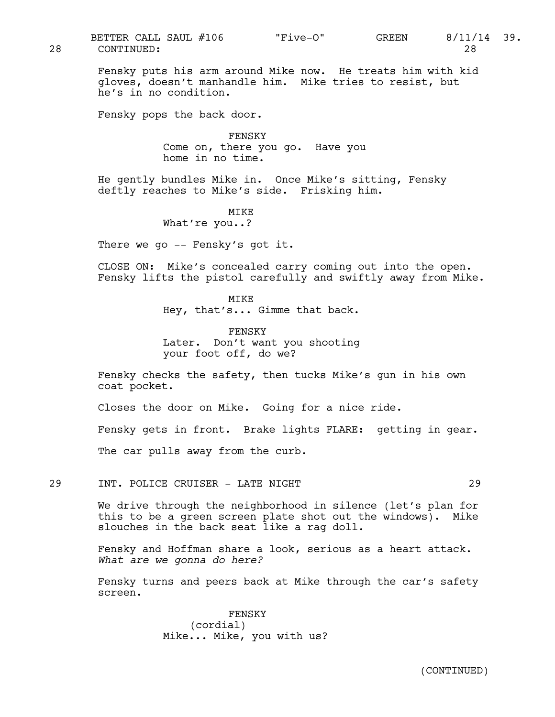Fensky puts his arm around Mike now. He treats him with kid gloves, doesn't manhandle him. Mike tries to resist, but he's in no condition.

Fensky pops the back door.

FENSKY Come on, there you go. Have you home in no time.

He gently bundles Mike in. Once Mike's sitting, Fensky deftly reaches to Mike's side. Frisking him.

> MIKE What're you..?

There we go -- Fensky's got it.

CLOSE ON: Mike's concealed carry coming out into the open. Fensky lifts the pistol carefully and swiftly away from Mike.

> MIKE Hey, that's... Gimme that back.

> FENSKY Later. Don't want you shooting your foot off, do we?

Fensky checks the safety, then tucks Mike's gun in his own coat pocket.

Closes the door on Mike. Going for a nice ride.

Fensky gets in front. Brake lights FLARE: getting in gear.

The car pulls away from the curb.

29 INT. POLICE CRUISER - LATE NIGHT 29

We drive through the neighborhood in silence (let's plan for this to be a green screen plate shot out the windows). Mike slouches in the back seat like a rag doll.

Fensky and Hoffman share a look, serious as a heart attack. *What are we gonna do here?*

Fensky turns and peers back at Mike through the car's safety screen.

> FENSKY (cordial) Mike... Mike, you with us?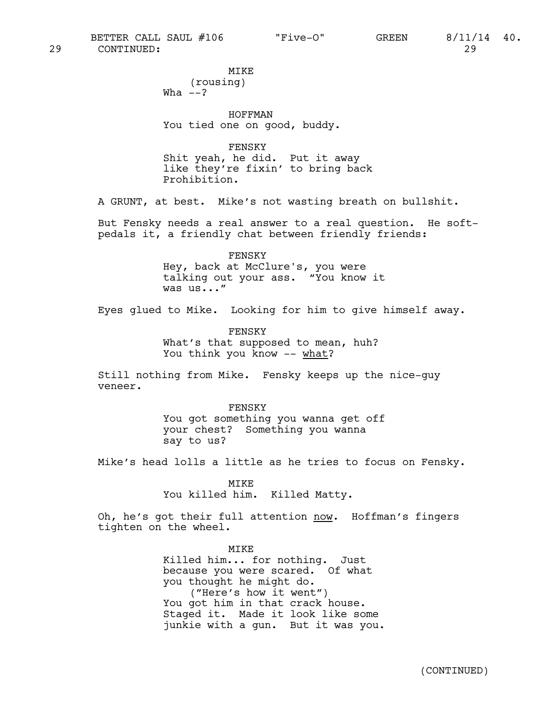MIKE (rousing) Wha  $--?$ 

HOFFMAN You tied one on good, buddy.

FENSKY Shit yeah, he did. Put it away like they're fixin' to bring back Prohibition.

A GRUNT, at best. Mike's not wasting breath on bullshit.

But Fensky needs a real answer to a real question. He softpedals it, a friendly chat between friendly friends:

> FENSKY Hey, back at McClure's, you were talking out your ass. "You know it was us..."

Eyes glued to Mike. Looking for him to give himself away.

FENSKY What's that supposed to mean, huh? You think you know -- what?

Still nothing from Mike. Fensky keeps up the nice-guy veneer.

> FENSKY You got something you wanna get off your chest? Something you wanna say to us?

Mike's head lolls a little as he tries to focus on Fensky.

MIKE You killed him. Killed Matty.

Oh, he's got their full attention now. Hoffman's fingers tighten on the wheel.

> MIKE Killed him... for nothing. Just because you were scared. Of what you thought he might do. ("Here's how it went") You got him in that crack house. Staged it. Made it look like some junkie with a gun. But it was you.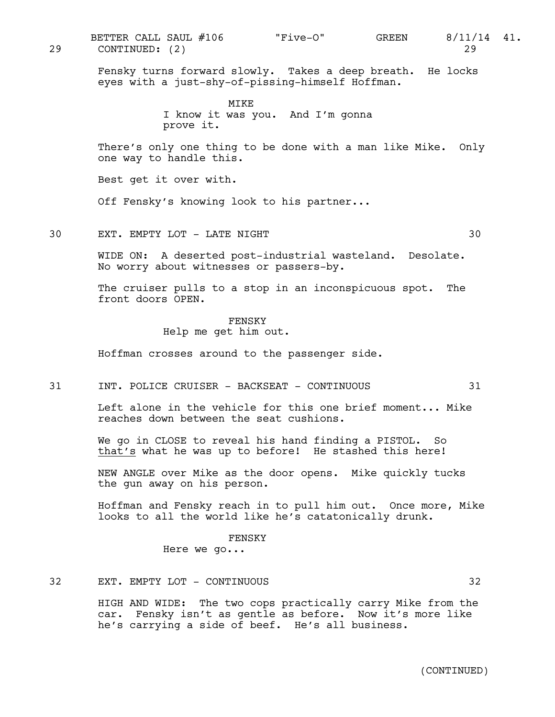29 CONTINUED: (2) 29 BETTER CALL SAUL #106  $\qquad$  "Five-O" GREEN 8/11/14 41.

Fensky turns forward slowly. Takes a deep breath. He locks eyes with a just-shy-of-pissing-himself Hoffman.

> MIKE I know it was you. And I'm gonna prove it.

There's only one thing to be done with a man like Mike. Only one way to handle this.

Best get it over with.

Off Fensky's knowing look to his partner...

30 EXT. EMPTY LOT - LATE NIGHT 30

WIDE ON: A deserted post-industrial wasteland. Desolate. No worry about witnesses or passers-by.

The cruiser pulls to a stop in an inconspicuous spot. The front doors OPEN.

#### FENSKY

Help me get him out.

Hoffman crosses around to the passenger side.

31 INT. POLICE CRUISER - BACKSEAT - CONTINUOUS 31

Left alone in the vehicle for this one brief moment... Mike reaches down between the seat cushions.

We go in CLOSE to reveal his hand finding a PISTOL. So that's what he was up to before! He stashed this here!

NEW ANGLE over Mike as the door opens. Mike quickly tucks the gun away on his person.

Hoffman and Fensky reach in to pull him out. Once more, Mike looks to all the world like he's catatonically drunk.

> FENSKY Here we go...

# 32 EXT. EMPTY LOT - CONTINUOUS 32

HIGH AND WIDE: The two cops practically carry Mike from the car. Fensky isn't as gentle as before. Now it's more like he's carrying a side of beef. He's all business.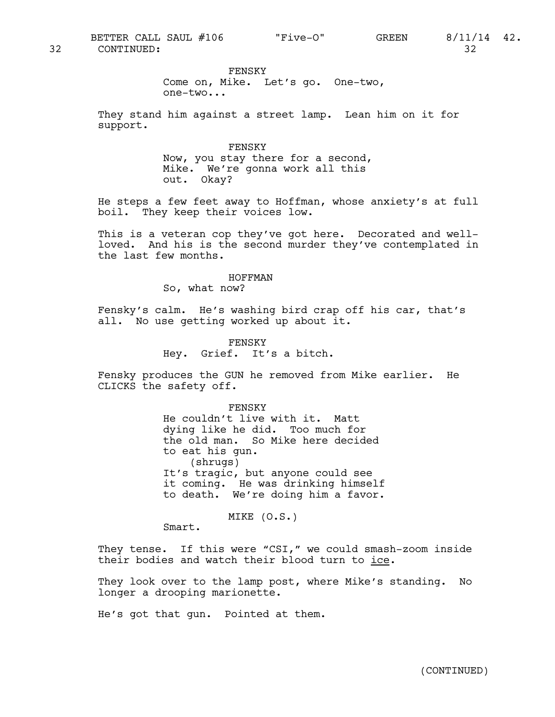FENSKY

Come on, Mike. Let's go. One-two, one-two...

They stand him against a street lamp. Lean him on it for support.

> FENSKY Now, you stay there for a second, Mike. We're gonna work all this out. Okay?

He steps a few feet away to Hoffman, whose anxiety's at full boil. They keep their voices low.

This is a veteran cop they've got here. Decorated and wellloved. And his is the second murder they've contemplated in the last few months.

#### HOFFMAN

So, what now?

Fensky's calm. He's washing bird crap off his car, that's all. No use getting worked up about it.

> FENSKY Hey. Grief. It's a bitch.

Fensky produces the GUN he removed from Mike earlier. He CLICKS the safety off.

> FENSKY He couldn't live with it. Matt dying like he did. Too much for the old man. So Mike here decided to eat his gun. (shrugs) It's tragic, but anyone could see it coming. He was drinking himself to death. We're doing him a favor.

> > MIKE (O.S.)

Smart.

They tense. If this were "CSI," we could smash-zoom inside their bodies and watch their blood turn to ice.

They look over to the lamp post, where Mike's standing. No longer a drooping marionette.

He's got that gun. Pointed at them.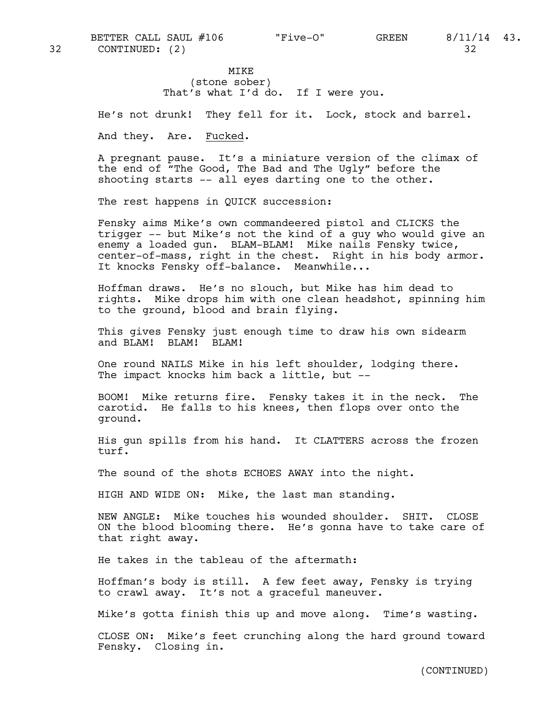MIKE (stone sober) That's what I'd do. If I were you.

He's not drunk! They fell for it. Lock, stock and barrel.

And they. Are. Fucked.

A pregnant pause. It's a miniature version of the climax of the end of "The Good, The Bad and The Ugly" before the shooting starts -- all eyes darting one to the other.

The rest happens in QUICK succession:

Fensky aims Mike's own commandeered pistol and CLICKS the trigger -- but Mike's not the kind of a guy who would give an enemy a loaded gun. BLAM-BLAM! Mike nails Fensky twice, center-of-mass, right in the chest. Right in his body armor. It knocks Fensky off-balance. Meanwhile...

Hoffman draws. He's no slouch, but Mike has him dead to rights. Mike drops him with one clean headshot, spinning him to the ground, blood and brain flying.

This gives Fensky just enough time to draw his own sidearm and BLAM! BLAM! BLAM!

One round NAILS Mike in his left shoulder, lodging there. The impact knocks him back a little, but --

BOOM! Mike returns fire. Fensky takes it in the neck. The carotid. He falls to his knees, then flops over onto the ground.

His gun spills from his hand. It CLATTERS across the frozen turf.

The sound of the shots ECHOES AWAY into the night.

HIGH AND WIDE ON: Mike, the last man standing.

NEW ANGLE: Mike touches his wounded shoulder. SHIT. CLOSE ON the blood blooming there. He's gonna have to take care of that right away.

He takes in the tableau of the aftermath:

Hoffman's body is still. A few feet away, Fensky is trying to crawl away. It's not a graceful maneuver.

Mike's gotta finish this up and move along. Time's wasting.

CLOSE ON: Mike's feet crunching along the hard ground toward Fensky. Closing in.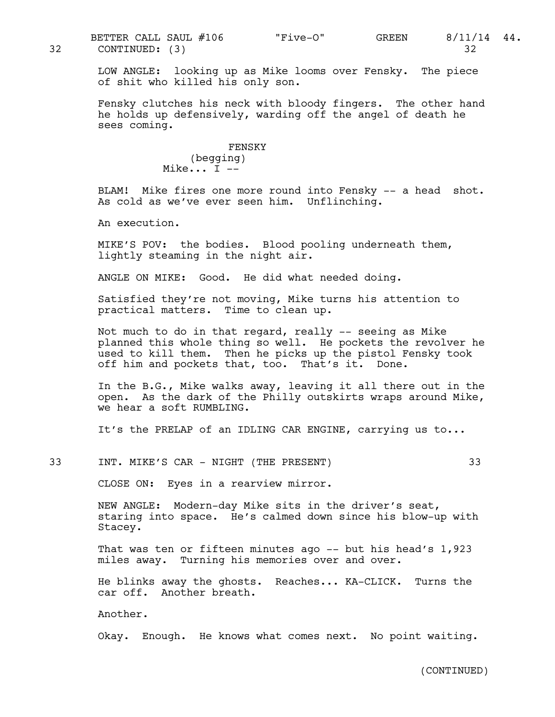LOW ANGLE: looking up as Mike looms over Fensky. The piece of shit who killed his only son.

Fensky clutches his neck with bloody fingers. The other hand he holds up defensively, warding off the angel of death he sees coming.

> FENSKY (begging) Mike... I --

BLAM! Mike fires one more round into Fensky -- a head shot. As cold as we've ever seen him. Unflinching.

An execution.

MIKE'S POV: the bodies. Blood pooling underneath them, lightly steaming in the night air.

ANGLE ON MIKE: Good. He did what needed doing.

Satisfied they're not moving, Mike turns his attention to practical matters. Time to clean up.

Not much to do in that regard, really -- seeing as Mike planned this whole thing so well. He pockets the revolver he used to kill them. Then he picks up the pistol Fensky took off him and pockets that, too. That's it. Done.

In the B.G., Mike walks away, leaving it all there out in the open. As the dark of the Philly outskirts wraps around Mike, we hear a soft RUMBLING.

It's the PRELAP of an IDLING CAR ENGINE, carrying us to...

33 INT. MIKE'S CAR - NIGHT (THE PRESENT) 33

CLOSE ON: Eyes in a rearview mirror.

NEW ANGLE: Modern-day Mike sits in the driver's seat, staring into space. He's calmed down since his blow-up with Stacey.

That was ten or fifteen minutes ago -- but his head's 1,923 miles away. Turning his memories over and over.

He blinks away the ghosts. Reaches... KA-CLICK. Turns the car off. Another breath.

Another.

Okay. Enough. He knows what comes next. No point waiting.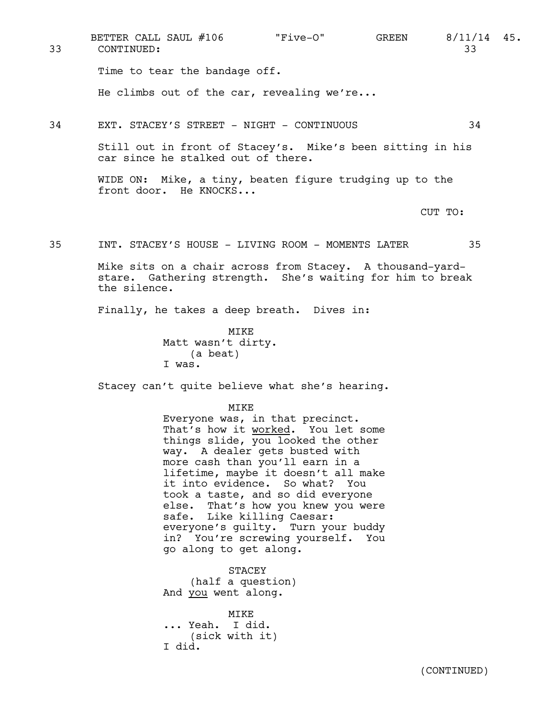Time to tear the bandage off. He climbs out of the car, revealing we're... 34 EXT. STACEY'S STREET - NIGHT - CONTINUOUS 34 Still out in front of Stacey's. Mike's been sitting in his car since he stalked out of there. WIDE ON: Mike, a tiny, beaten figure trudging up to the front door. He KNOCKS... CUT TO: 35 INT. STACEY'S HOUSE - LIVING ROOM - MOMENTS LATER 35 Mike sits on a chair across from Stacey. A thousand-yardstare. Gathering strength. She's waiting for him to break the silence. Finally, he takes a deep breath. Dives in: MIKE Matt wasn't dirty. (a beat) I was. Stacey can't quite believe what she's hearing. MIKE Everyone was, in that precinct. That's how it worked. You let some things slide,  $\overline{you}$  looked the other 33 CONTINUED: 33 BETTER CALL SAUL #106 "Five-O" GREEN 8/11/14 45.

way. A dealer gets busted with more cash than you'll earn in a lifetime, maybe it doesn't all make it into evidence. So what? You took a taste, and so did everyone else. That's how you knew you were safe. Like killing Caesar: everyone's guilty. Turn your buddy in? You're screwing yourself. You go along to get along.

STACEY (half a question) And you went along.

MIKE ... Yeah. I did. (sick with it) I did.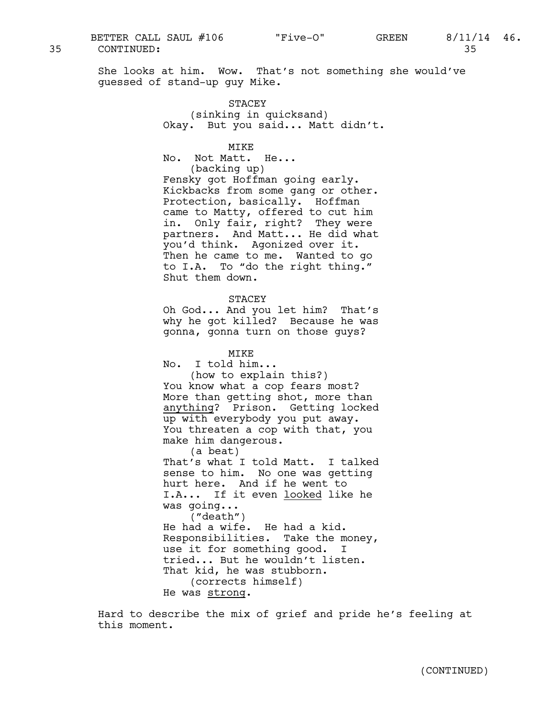She looks at him. Wow. That's not something she would've guessed of stand-up guy Mike.

> STACEY (sinking in quicksand) Okay. But you said... Matt didn't.

> > MTK<sub>E</sub>

No. Not Matt. He... (backing up) Fensky got Hoffman going early. Kickbacks from some gang or other. Protection, basically. Hoffman came to Matty, offered to cut him in. Only fair, right? They were partners. And Matt... He did what you'd think. Agonized over it. Then he came to me. Wanted to go to I.A. To "do the right thing." Shut them down.

STACEY

Oh God... And you let him? That's why he got killed? Because he was gonna, gonna turn on those guys?

MIKE

No. I told him... (how to explain this?) You know what a cop fears most? More than getting shot, more than anything? Prison. Getting locked up with everybody you put away. You threaten a cop with that, you make him dangerous. (a beat) That's what I told Matt. I talked sense to him. No one was getting hurt here. And if he went to I.A... If it even looked like he was going... ("death") He had a wife. He had a kid. Responsibilities. Take the money, use it for something good. I tried... But he wouldn't listen.

That kid, he was stubborn. (corrects himself)

He was strong.

Hard to describe the mix of grief and pride he's feeling at this moment.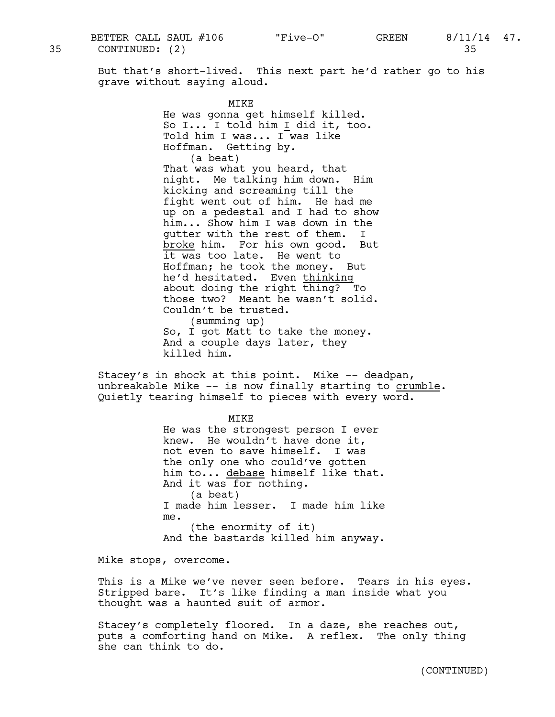35 CONTINUED: (2) 35 BETTER CALL SAUL #106 "Five-O" GREEN 8/11/14 47.

But that's short-lived. This next part he'd rather go to his grave without saying aloud.

> MTK<sub>E</sub> He was gonna get himself killed. So I... I told him I did it, too. Told him I was... I was like Hoffman. Getting by. (a beat) That was what you heard, that night. Me talking him down. Him kicking and screaming till the fight went out of him. He had me up on a pedestal and I had to show him... Show him I was down in the gutter with the rest of them. I broke him. For his own good. But it was too late. He went to Hoffman; he took the money. But he'd hesitated. Even thinking about doing the right thing? To those two? Meant he wasn't solid. Couldn't be trusted. (summing up) So, I got Matt to take the money. And a couple days later, they killed him.

Stacey's in shock at this point. Mike -- deadpan, unbreakable Mike -- is now finally starting to crumble.<br>Quietly tearing himself to pieces with every word.

> MIKE He was the strongest person I ever knew. He wouldn't have done it, not even to save himself. I was the only one who could've gotten him to... debase himself like that. And it was for nothing. (a beat) I made him lesser. I made him like me. (the enormity of it) And the bastards killed him anyway.

Mike stops, overcome.

This is a Mike we've never seen before. Tears in his eyes. Stripped bare. It's like finding a man inside what you thought was a haunted suit of armor.

Stacey's completely floored. In a daze, she reaches out, puts a comforting hand on Mike. A reflex. The only thing she can think to do.